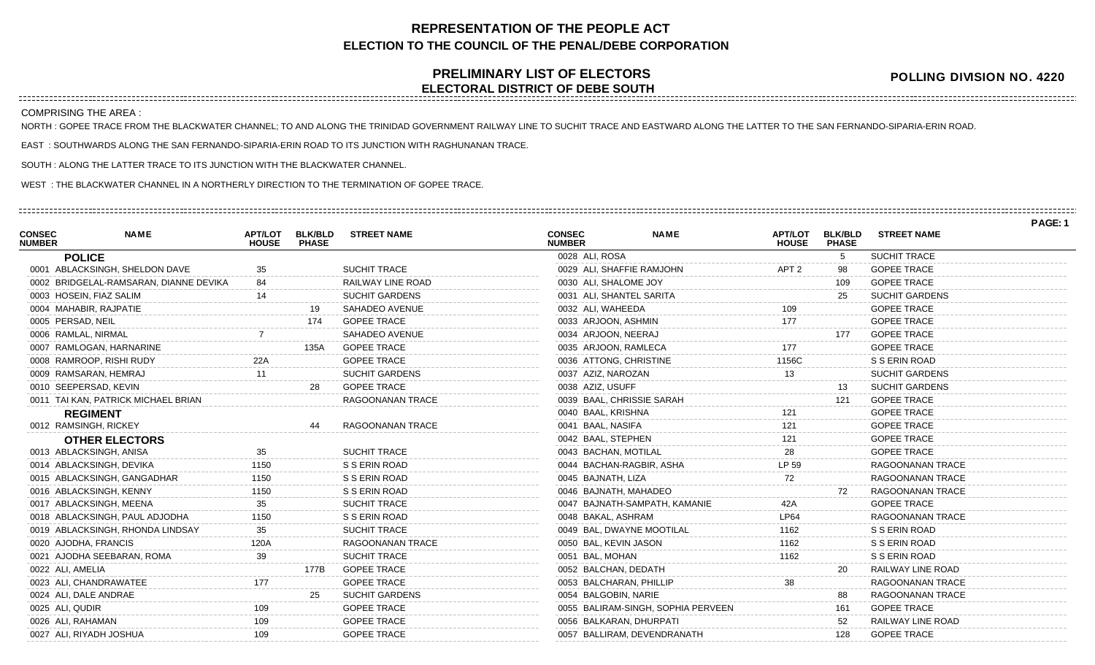## **REPRESENTATION OF THE PEOPLE ACT ELECTION TO THE COUNCIL OF THE PENAL/DEBE CORPORATION**

## **PRELIMINARY LIST OF ELECTORS ELECTORAL DISTRICT OF DEBE SOUTH**

**POLLING DIVISION NO. 4220**

COMPRISING THE AREA :

NORTH : GOPEE TRACE FROM THE BLACKWATER CHANNEL; TO AND ALONG THE TRINIDAD GOVERNMENT RAILWAY LINE TO SUCHIT TRACE AND EASTWARD ALONG THE LATTER TO THE SAN FERNANDO-SIPARIA-ERIN ROAD.

EAST : SOUTHWARDS ALONG THE SAN FERNANDO-SIPARIA-ERIN ROAD TO ITS JUNCTION WITH RAGHUNANAN TRACE.

SOUTH : ALONG THE LATTER TRACE TO ITS JUNCTION WITH THE BLACKWATER CHANNEL.

WEST : THE BLACKWATER CHANNEL IN A NORTHERLY DIRECTION TO THE TERMINATION OF GOPEE TRACE.

|                                |                                        |                                |                                |                       |                                |                                    |                                |                                |                         | PAGE: 1 |
|--------------------------------|----------------------------------------|--------------------------------|--------------------------------|-----------------------|--------------------------------|------------------------------------|--------------------------------|--------------------------------|-------------------------|---------|
| <b>CONSEC</b><br><b>NUMBER</b> | <b>NAME</b>                            | <b>APT/LOT</b><br><b>HOUSE</b> | <b>BLK/BLD</b><br><b>PHASE</b> | <b>STREET NAME</b>    | <b>CONSEC</b><br><b>NUMBER</b> | <b>NAME</b>                        | <b>APT/LOT</b><br><b>HOUSE</b> | <b>BLK/BLD</b><br><b>PHASE</b> | <b>STREET NAME</b>      |         |
|                                | <b>POLICE</b>                          |                                |                                |                       | 0028 ALI, ROSA                 |                                    |                                | 5                              | <b>SUCHIT TRACE</b>     |         |
|                                | 0001 ABLACKSINGH, SHELDON DAVE         | 35                             |                                | <b>SUCHIT TRACE</b>   | 0029 ALI, SHAFFIE RAMJOHN      |                                    | APT <sub>2</sub>               | 98                             | <b>GOPEE TRACE</b>      |         |
|                                | 0002 BRIDGELAL-RAMSARAN, DIANNE DEVIKA |                                |                                | RAILWAY LINE ROAD     | 0030 ALI, SHALOME JOY          |                                    |                                | 109                            | <b>GOPEE TRACE</b>      |         |
|                                | 0003 HOSEIN, FIAZ SALIM                |                                |                                | <b>SUCHIT GARDENS</b> | 0031 ALI, SHANTEL SARITA       |                                    |                                | 25                             | <b>SUCHIT GARDENS</b>   |         |
|                                | 0004 MAHABIR, RAJPATIE                 |                                | 19                             | SAHADEO AVENUE        | 0032 ALI, WAHEEDA              |                                    | 109                            |                                | <b>GOPEE TRACE</b>      |         |
|                                | 0005 PERSAD, NEIL                      |                                | 174                            | <b>GOPEE TRACE</b>    | 0033 ARJOON, ASHMIN            |                                    | 177                            |                                | <b>GOPEE TRACE</b>      |         |
|                                | 0006 RAMLAL, NIRMAL                    |                                |                                | <b>SAHADEO AVENUE</b> | 0034 ARJOON, NEERAJ            |                                    |                                | 177                            | <b>GOPEE TRACE</b>      |         |
|                                | 0007 RAMLOGAN, HARNARINE               |                                | 135A                           | <b>GOPEE TRACE</b>    | 0035 ARJOON, RAMLECA           |                                    | 177                            |                                | <b>GOPEE TRACE</b>      |         |
|                                | 0008 RAMROOP, RISHI RUDY               | 22A                            |                                | <b>GOPEE TRACE</b>    | 0036 ATTONG, CHRISTINE         |                                    | 1156C                          |                                | S S ERIN ROAD           |         |
|                                | 0009 RAMSARAN, HEMRAJ                  | 11                             |                                | <b>SUCHIT GARDENS</b> | 0037 AZIZ, NAROZAN             |                                    | 13                             |                                | <b>SUCHIT GARDENS</b>   |         |
|                                | 0010 SEEPERSAD, KEVIN                  |                                | 28                             | <b>GOPEE TRACE</b>    | 0038 AZIZ, USUFF               |                                    |                                | 13                             | <b>SUCHIT GARDENS</b>   |         |
|                                | 0011 TAI KAN, PATRICK MICHAEL BRIAN    |                                |                                | RAGOONANAN TRACE      | 0039 BAAL, CHRISSIE SARAH      |                                    |                                | 121                            | <b>GOPEE TRACE</b>      |         |
|                                | <b>REGIMENT</b>                        |                                |                                |                       | 0040 BAAL, KRISHNA             |                                    |                                |                                | <b>GOPEE TRACE</b>      |         |
|                                | 0012 RAMSINGH, RICKEY                  |                                |                                | RAGOONANAN TRACE      | 0041 BAAL, NASIFA              |                                    | 121                            |                                | <b>GOPEE TRACE</b>      |         |
|                                | <b>OTHER ELECTORS</b>                  |                                |                                |                       | 0042 BAAL, STEPHEN             |                                    | 121                            |                                | <b>GOPEE TRACE</b>      |         |
|                                | 0013 ABLACKSINGH, ANISA                | 35                             |                                | SUCHIT TRACE          | 0043 BACHAN, MOTILAL           |                                    | 28                             |                                | <b>GOPEE TRACE</b>      |         |
|                                | 0014 ABLACKSINGH, DEVIKA               | 1150                           |                                | S S ERIN ROAD         | 0044 BACHAN-RAGBIR, ASHA       |                                    | LP 59                          |                                | RAGOONANAN TRACE        |         |
|                                | 0015 ABLACKSINGH, GANGADHAR            | 1150                           |                                | S S ERIN ROAD         | 0045 BAJNATH, LIZA             |                                    | 72                             |                                | RAGOONANAN TRACE        |         |
|                                | 0016 ABLACKSINGH, KENNY                | 1150                           |                                | S S ERIN ROAD         | 0046 BAJNATH, MAHADEO          |                                    |                                | 72                             | RAGOONANAN TRACE        |         |
|                                | 0017 ABLACKSINGH, MEENA                |                                |                                | <b>SUCHIT TRACE</b>   |                                | 0047 BAJNATH-SAMPATH, KAMANIE      | 42A                            |                                | <b>GOPEE TRACE</b>      |         |
|                                | 0018 ABLACKSINGH, PAUL ADJODHA         | 1150                           |                                | S S ERIN ROAD         | 0048 BAKAL, ASHRAM             |                                    | <b>LP64</b>                    |                                | RAGOONANAN TRACE        |         |
|                                | 0019 ABLACKSINGH, RHONDA LINDSAY       | 35                             |                                | SUCHIT TRACE          | 0049 BAL, DWAYNE MOOTILAL      |                                    | 1162                           |                                | S S ERIN ROAD           |         |
|                                | 0020 AJODHA, FRANCIS                   | 120A                           |                                | RAGOONANAN TRACE      | 0050 BAL, KEVIN JASON          |                                    | 1162                           |                                | S S ERIN ROAD           |         |
|                                | 0021 AJODHA SEEBARAN, ROMA             | 39                             |                                | <b>SUCHIT TRACE</b>   | 0051 BAL, MOHAN                |                                    | 1162                           |                                | S S ERIN ROAD           |         |
|                                | 0022 ALI, AMELIA                       |                                | 177B                           | <b>GOPEE TRACE</b>    | 0052 BALCHAN, DEDATH           |                                    |                                | 20                             | RAILWAY LINE ROAD       |         |
|                                | 0023 ALI, CHANDRAWATEE                 | 177                            |                                | <b>GOPEE TRACE</b>    | 0053 BALCHARAN, PHILLIP        |                                    | 38                             |                                | <b>RAGOONANAN TRACE</b> |         |
|                                | 0024 ALI, DALE ANDRAE                  |                                | 25                             | <b>SUCHIT GARDENS</b> | 0054 BALGOBIN, NARIE           |                                    |                                | 88                             | RAGOONANAN TRACE        |         |
|                                | 0025 ALI, QUDIR                        | 109                            |                                | <b>GOPEE TRACE</b>    |                                | 0055 BALIRAM-SINGH, SOPHIA PERVEEN |                                | 161                            | <b>GOPEE TRACE</b>      |         |
|                                | 0026 ALI, RAHAMAN                      | 109                            |                                | <b>GOPEE TRACE</b>    | 0056 BALKARAN, DHURPATI        |                                    |                                | 52                             | RAILWAY LINE ROAD       |         |
|                                | 0027 ALI, RIYADH JOSHUA                | 109                            |                                | <b>GOPEE TRACE</b>    |                                | 0057 BALLIRAM, DEVENDRANATH        |                                | 128                            | <b>GOPEE TRACE</b>      |         |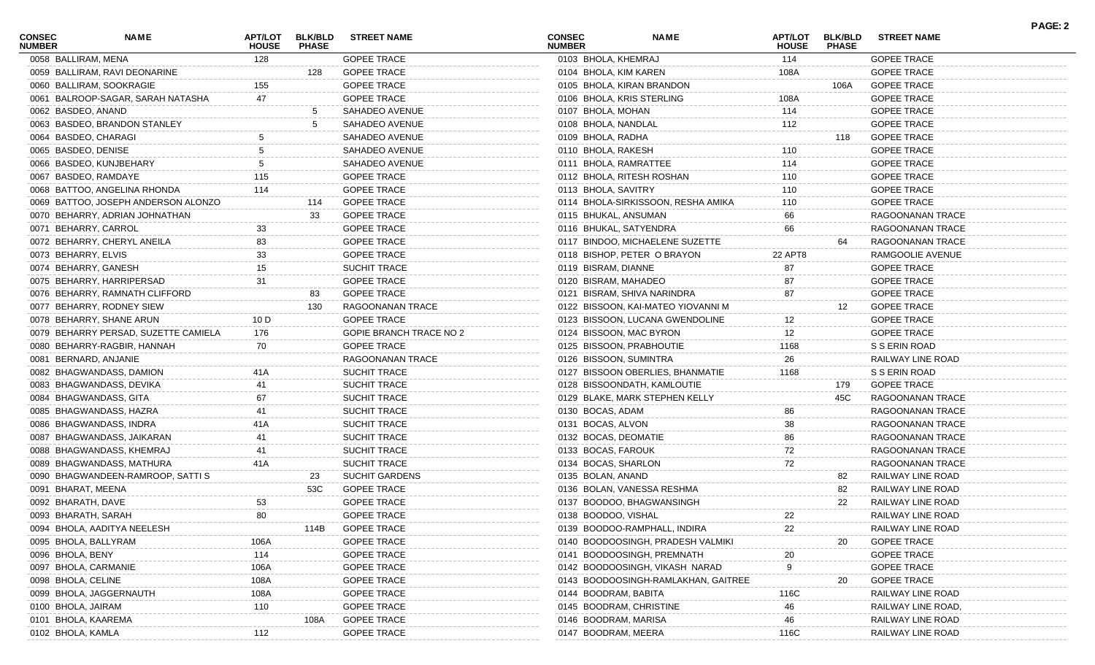| <b>CONSEC</b><br><b>NUMBER</b> | NAME                                 | <b>APT/LOT</b><br><b>HOUSE</b> | <b>BLK/BLD</b><br><b>PHASE</b> | <b>STREET NAME</b>      | <b>CONSEC</b><br><b>NUMBER</b> | <b>NAME</b>                         | APT/LOT<br><b>HOUSE</b> | <b>BLK/BLD</b><br><b>PHASE</b> | <b>STREET NAME</b> | <b>PAGE: 2</b> |
|--------------------------------|--------------------------------------|--------------------------------|--------------------------------|-------------------------|--------------------------------|-------------------------------------|-------------------------|--------------------------------|--------------------|----------------|
| 0058 BALLIRAM, MENA            |                                      | 128                            |                                | <b>GOPEE TRACE</b>      | 0103 BHOLA, KHEMRAJ            |                                     | 114                     |                                | <b>GOPEE TRACE</b> |                |
|                                | 0059 BALLIRAM, RAVI DEONARINE        |                                | 128                            | <b>GOPEE TRACE</b>      | 0104 BHOLA, KIM KAREN          |                                     | 108A                    |                                | <b>GOPEE TRACE</b> |                |
|                                | 0060 BALLIRAM, SOOKRAGIE             | 155                            |                                | <b>GOPEE TRACE</b>      |                                | 0105 BHOLA, KIRAN BRANDON           |                         | 106A                           | <b>GOPEE TRACE</b> |                |
|                                | 0061 BALROOP-SAGAR, SARAH NATASHA    |                                |                                | <b>GOPEE TRACE</b>      | 0106 BHOLA, KRIS STERLING      |                                     | 108A                    |                                | <b>GOPEE TRACE</b> |                |
| 0062 BASDEO, ANAND             |                                      |                                | 5                              | SAHADEO AVENUE          | 0107 BHOLA, MOHAN              |                                     | 114                     |                                | <b>GOPEE TRACE</b> |                |
|                                | 0063 BASDEO, BRANDON STANLEY         |                                | -5                             | SAHADEO AVENUE          | 0108 BHOLA, NANDLAL            |                                     | 112                     |                                | <b>GOPEE TRACE</b> |                |
| 0064 BASDEO, CHARAGI           |                                      |                                |                                | SAHADEO AVENUE          | 0109 BHOLA, RADHA              |                                     |                         | 118                            | <b>GOPEE TRACE</b> |                |
| 0065 BASDEO, DENISE            |                                      |                                |                                | SAHADEO AVENUE          | 0110 BHOLA, RAKESH             |                                     | 110                     |                                | <b>GOPEE TRACE</b> |                |
|                                | 0066 BASDEO, KUNJBEHARY              |                                |                                | SAHADEO AVENUE          | 0111 BHOLA, RAMRATTEE          |                                     | 114                     |                                | <b>GOPEE TRACE</b> |                |
|                                | 0067 BASDEO, RAMDAYE                 | 115                            |                                | <b>GOPEE TRACE</b>      |                                | 0112 BHOLA, RITESH ROSHAN           | 110                     |                                | <b>GOPEE TRACE</b> |                |
|                                | 0068 BATTOO, ANGELINA RHONDA         | 114                            |                                | <b>GOPEE TRACE</b>      | 0113 BHOLA, SAVITRY            |                                     | 110                     |                                | <b>GOPEE TRACE</b> |                |
|                                | 0069 BATTOO, JOSEPH ANDERSON ALONZO  |                                | 114                            | <b>GOPEE TRACE</b>      |                                | 0114 BHOLA-SIRKISSOON, RESHA AMIKA  | 110                     |                                | <b>GOPEE TRACE</b> |                |
|                                | 0070 BEHARRY, ADRIAN JOHNATHAN       |                                | 33                             | <b>GOPEE TRACE</b>      | 0115 BHUKAL, ANSUMAN           |                                     | 66                      |                                | RAGOONANAN TRACE   |                |
| 0071 BEHARRY, CARROL           |                                      | 33                             |                                | <b>GOPEE TRACE</b>      | 0116 BHUKAL, SATYENDRA         |                                     | 66                      |                                | RAGOONANAN TRACE   |                |
|                                | 0072 BEHARRY, CHERYL ANEILA          | 83                             |                                | <b>GOPEE TRACE</b>      |                                | 0117 BINDOO, MICHAELENE SUZETTE     |                         | 64                             | RAGOONANAN TRACE   |                |
| 0073 BEHARRY, ELVIS            |                                      | 33                             |                                | <b>GOPEE TRACE</b>      |                                | 0118 BISHOP, PETER O BRAYON         | 22 APT8                 |                                | RAMGOOLIE AVENUE   |                |
|                                | 0074 BEHARRY, GANESH                 | 15                             |                                | SUCHIT TRACE            | 0119 BISRAM, DIANNE            |                                     | 87                      |                                | <b>GOPEE TRACE</b> |                |
|                                | 0075 BEHARRY, HARRIPERSAD            | 31                             |                                | <b>GOPEE TRACE</b>      | 0120 BISRAM, MAHADEO           |                                     | 87                      |                                | <b>GOPEE TRACE</b> |                |
|                                | 0076 BEHARRY, RAMNATH CLIFFORD       |                                | 83                             | <b>GOPEE TRACE</b>      |                                | 0121 BISRAM, SHIVA NARINDRA         | 87                      |                                | <b>GOPEE TRACE</b> |                |
|                                | 0077 BEHARRY, RODNEY SIEW            |                                | 130                            | RAGOONANAN TRACE        |                                | 0122 BISSOON, KAI-MATEO YIOVANNI M  |                         | 12                             | <b>GOPEE TRACE</b> |                |
|                                | 0078 BEHARRY, SHANE ARUN             | 10 D                           |                                | <b>GOPEE TRACE</b>      |                                | 0123 BISSOON, LUCANA GWENDOLINE     | 12                      |                                | <b>GOPEE TRACE</b> |                |
|                                | 0079 BEHARRY PERSAD, SUZETTE CAMIELA | 176                            |                                | GOPIE BRANCH TRACE NO 2 | 0124 BISSOON, MAC BYRON        |                                     | 12                      |                                | <b>GOPEE TRACE</b> |                |
|                                | 0080 BEHARRY-RAGBIR, HANNAH          | 70                             |                                | <b>GOPEE TRACE</b>      |                                | 0125 BISSOON, PRABHOUTIE            | 1168                    |                                | S S ERIN ROAD      |                |
|                                | 0081 BERNARD, ANJANIE                |                                |                                | RAGOONANAN TRACE        | 0126 BISSOON, SUMINTRA         |                                     | 26                      |                                | RAILWAY LINE ROAD  |                |
|                                | 0082 BHAGWANDASS, DAMION             | 41A                            |                                | SUCHIT TRACE            |                                | 0127 BISSOON OBERLIES, BHANMATIE    | 1168                    |                                | S S ERIN ROAD      |                |
|                                | 0083 BHAGWANDASS, DEVIKA             |                                |                                | SUCHIT TRACE            |                                | 0128 BISSOONDATH, KAMLOUTIE         |                         | 179                            | <b>GOPEE TRACE</b> |                |
|                                | 0084 BHAGWANDASS, GITA               | 67                             |                                | SUCHIT TRACE            |                                | 0129 BLAKE, MARK STEPHEN KELLY      |                         | 45C                            | RAGOONANAN TRACE   |                |
|                                | 0085 BHAGWANDASS, HAZRA              |                                |                                | SUCHIT TRACE            | 0130 BOCAS, ADAM               |                                     | 86                      |                                | RAGOONANAN TRACE   |                |
|                                | 0086 BHAGWANDASS, INDRA              | 41A                            |                                |                         |                                |                                     | 38                      |                                |                    |                |
|                                |                                      |                                |                                | SUCHIT TRACE            | 0131 BOCAS, ALVON              |                                     |                         |                                | RAGOONANAN TRACE   |                |
|                                | 0087 BHAGWANDASS, JAIKARAN           |                                |                                | SUCHIT TRACE            | 0132 BOCAS, DEOMATIE           |                                     | 86                      |                                | RAGOONANAN TRACE   |                |
|                                | 0088 BHAGWANDASS, KHEMRAJ            |                                |                                | SUCHIT TRACE            | 0133 BOCAS, FAROUK             |                                     | 72                      |                                | RAGOONANAN TRACE   |                |
|                                | 0089 BHAGWANDASS, MATHURA            | 41A                            |                                | SUCHIT TRACE            | 0134 BOCAS, SHARLON            |                                     | 72                      |                                | RAGOONANAN TRACE   |                |
|                                | 0090 BHAGWANDEEN-RAMROOP, SATTI S    |                                | 23                             | <b>SUCHIT GARDENS</b>   | 0135 BOLAN, ANAND              |                                     |                         | 82                             | RAILWAY LINE ROAD  |                |
| 0091 BHARAT, MEENA             |                                      |                                | 53C                            | <b>GOPEE TRACE</b>      |                                | 0136 BOLAN, VANESSA RESHMA          |                         | 82                             | RAILWAY LINE ROAD  |                |
| 0092 BHARATH, DAVE             |                                      | 53                             |                                | <b>GOPEE TRACE</b>      |                                | 0137 BOODOO, BHAGWANSINGH           |                         | 22                             | RAILWAY LINE ROAD  |                |
| 0093 BHARATH, SARAH            |                                      | 80                             |                                | <b>GOPEE TRACE</b>      | 0138 BOODOO, VISHAL            |                                     | 22                      |                                | RAILWAY LINE ROAD  |                |
|                                | 0094 BHOLA, AADITYA NEELESH          |                                | 114B                           | <b>GOPEE TRACE</b>      |                                | 0139 BOODOO-RAMPHALL, INDIRA        | 22                      |                                | RAILWAY LINE ROAD  |                |
| 0095 BHOLA, BALLYRAM           |                                      | 106A                           |                                | <b>GOPEE TRACE</b>      |                                | 0140 BOODOOSINGH, PRADESH VALMIKI   |                         | 20                             | <b>GOPEE TRACE</b> |                |
| 0096 BHOLA, BENY               |                                      | 114                            |                                | <b>GOPEE TRACE</b>      |                                | 0141 BOODOOSINGH, PREMNATH          | 20                      |                                | <b>GOPEE TRACE</b> |                |
| 0097 BHOLA, CARMANIE           |                                      | 106A                           |                                | <b>GOPEE TRACE</b>      |                                | 0142 BOODOOSINGH, VIKASH NARAD      |                         |                                | <b>GOPEE TRACE</b> |                |
| 0098 BHOLA, CELINE             |                                      | 108A                           |                                | <b>GOPEE TRACE</b>      |                                | 0143 BOODOOSINGH-RAMLAKHAN, GAITREE |                         | 20                             | <b>GOPEE TRACE</b> |                |
|                                | 0099 BHOLA, JAGGERNAUTH              | 108A                           |                                | <b>GOPEE TRACE</b>      | 0144 BOODRAM, BABITA           |                                     | 116C                    |                                | RAILWAY LINE ROAD  |                |
| 0100 BHOLA, JAIRAM             |                                      | 110                            |                                | <b>GOPEE TRACE</b>      | 0145 BOODRAM, CHRISTINE        |                                     | 46                      |                                | RAILWAY LINE ROAD, |                |
| 0101 BHOLA, KAAREMA            |                                      |                                | 108A                           | <b>GOPEE TRACE</b>      | 0146 BOODRAM, MARISA           |                                     | 46                      |                                | RAILWAY LINE ROAD  |                |
| 0102 BHOLA, KAMLA              |                                      | 112                            |                                | <b>GOPEE TRACE</b>      | 0147 BOODRAM, MEERA            |                                     | 116C                    |                                | RAILWAY LINE ROAD  |                |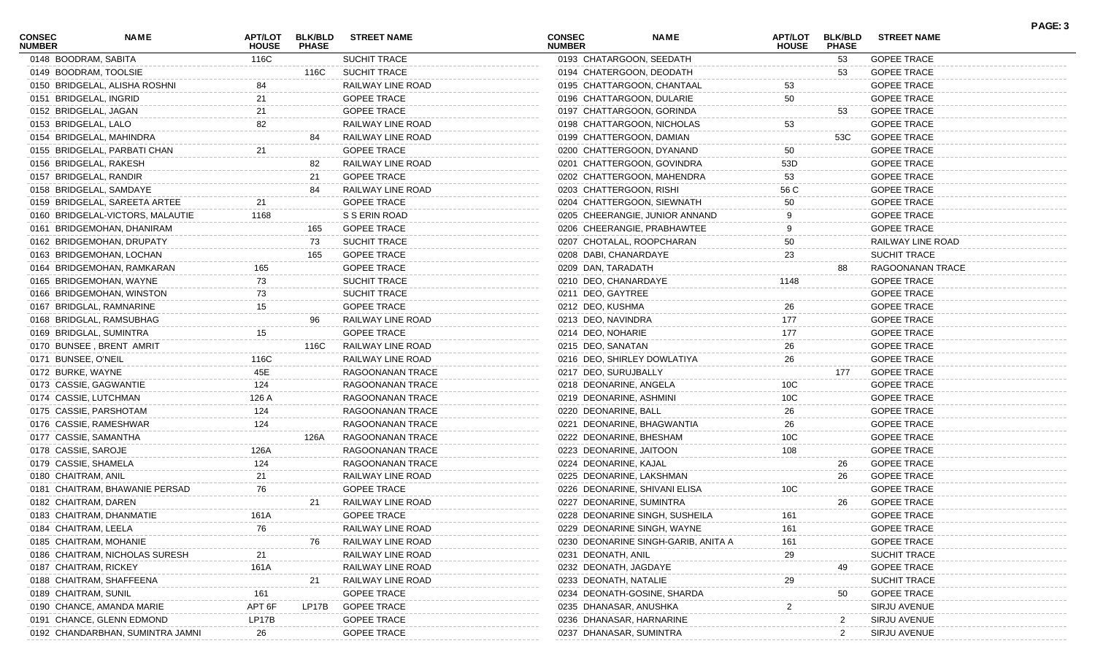| <b>CONSEC</b><br><b>NUMBER</b> | <b>NAME</b>                      | APT/LOT<br><b>HOUSE</b> | <b>BLK/BLD</b><br><b>PHASE</b> | <b>STREET NAME</b>  | <b>CONSEC</b><br><b>NUMBER</b> |                               | <b>NAME</b>                         | <b>APT/LOT</b><br><b>HOUSE</b> | <b>BLK/BLD</b><br><b>PHASE</b> | <b>STREET NAME</b>  | PAGE: 3 |
|--------------------------------|----------------------------------|-------------------------|--------------------------------|---------------------|--------------------------------|-------------------------------|-------------------------------------|--------------------------------|--------------------------------|---------------------|---------|
| 0148 BOODRAM, SABITA           |                                  | 116C                    |                                | <b>SUCHIT TRACE</b> |                                | 0193 CHATARGOON, SEEDATH      |                                     |                                | 53                             | <b>GOPEE TRACE</b>  |         |
| 0149 BOODRAM, TOOLSIE          |                                  |                         | 116C                           | <b>SUCHIT TRACE</b> |                                | 0194 CHATERGOON, DEODATH      |                                     |                                | 53                             | <b>GOPEE TRACE</b>  |         |
|                                | 0150 BRIDGELAL, ALISHA ROSHNI    |                         |                                | RAILWAY LINE ROAD   |                                | 0195 CHATTARGOON, CHANTAAL    |                                     | 53                             |                                | <b>GOPEE TRACE</b>  |         |
| 0151 BRIDGELAL, INGRID         |                                  | 21                      |                                | <b>GOPEE TRACE</b>  |                                | 0196 CHATTARGOON, DULARIE     |                                     | 50                             |                                | <b>GOPEE TRACE</b>  |         |
| 0152 BRIDGELAL, JAGAN          |                                  | 21                      |                                | <b>GOPEE TRACE</b>  |                                | 0197 CHATTARGOON, GORINDA     |                                     |                                | 53                             | <b>GOPEE TRACE</b>  |         |
| 0153 BRIDGELAL, LALO           |                                  | 82                      |                                | RAILWAY LINE ROAD   |                                | 0198 CHATTARGOON, NICHOLAS    |                                     | 53                             |                                | <b>GOPEE TRACE</b>  |         |
|                                | 0154 BRIDGELAL, MAHINDRA         |                         | 84                             | RAILWAY LINE ROAD   |                                | 0199 CHATTERGOON, DAMIAN      |                                     |                                | 53C                            | <b>GOPEE TRACE</b>  |         |
|                                | 0155 BRIDGELAL, PARBATI CHAN     | 21                      |                                | <b>GOPEE TRACE</b>  |                                | 0200 CHATTERGOON, DYANAND     |                                     | 50                             |                                | <b>GOPEE TRACE</b>  |         |
| 0156 BRIDGELAL, RAKESH         |                                  |                         | 82                             | RAILWAY LINE ROAD   |                                | 0201 CHATTERGOON, GOVINDRA    |                                     | 53D                            |                                | <b>GOPEE TRACE</b>  |         |
| 0157 BRIDGELAL, RANDIR         |                                  |                         | 21                             | <b>GOPEE TRACE</b>  |                                |                               | 0202 CHATTERGOON, MAHENDRA          | 53                             |                                | <b>GOPEE TRACE</b>  |         |
|                                | 0158 BRIDGELAL, SAMDAYE          |                         | 84                             | RAILWAY LINE ROAD   |                                | 0203 CHATTERGOON, RISHI       |                                     | 56 C                           |                                | <b>GOPEE TRACE</b>  |         |
|                                | 0159 BRIDGELAL, SAREETA ARTEE    |                         |                                | <b>GOPEE TRACE</b>  |                                | 0204 CHATTERGOON, SIEWNATH    |                                     | 50                             |                                | <b>GOPEE TRACE</b>  |         |
|                                | 0160 BRIDGELAL-VICTORS, MALAUTIE | 1168                    |                                | S S ERIN ROAD       |                                |                               | 0205 CHEERANGIE, JUNIOR ANNAND      |                                |                                | <b>GOPEE TRACE</b>  |         |
|                                | 0161 BRIDGEMOHAN, DHANIRAM       |                         | 165                            | <b>GOPEE TRACE</b>  |                                |                               | 0206 CHEERANGIE, PRABHAWTEE         |                                |                                | <b>GOPEE TRACE</b>  |         |
|                                | 0162 BRIDGEMOHAN, DRUPATY        |                         | 73                             | <b>SUCHIT TRACE</b> |                                | 0207 CHOTALAL, ROOPCHARAN     |                                     | 50                             |                                | RAILWAY LINE ROAD   |         |
|                                | 0163 BRIDGEMOHAN, LOCHAN         |                         | 165                            | <b>GOPEE TRACE</b>  |                                | 0208 DABI, CHANARDAYE         |                                     | 23                             |                                | SUCHIT TRACE        |         |
|                                | 0164 BRIDGEMOHAN, RAMKARAN       | 165                     |                                | <b>GOPEE TRACE</b>  |                                | 0209 DAN, TARADATH            |                                     |                                | 88                             | RAGOONANAN TRACE    |         |
|                                | 0165 BRIDGEMOHAN, WAYNE          | 73                      |                                | <b>SUCHIT TRACE</b> |                                | 0210 DEO, CHANARDAYE          |                                     | 1148                           |                                | <b>GOPEE TRACE</b>  |         |
|                                | 0166 BRIDGEMOHAN, WINSTON        | 73                      |                                | <b>SUCHIT TRACE</b> |                                | 0211 DEO, GAYTREE             |                                     |                                |                                | <b>GOPEE TRACE</b>  |         |
|                                | 0167 BRIDGLAL, RAMNARINE         | 15                      |                                | <b>GOPEE TRACE</b>  |                                | 0212 DEO, KUSHMA              |                                     | 26                             |                                | <b>GOPEE TRACE</b>  |         |
|                                | 0168 BRIDGLAL, RAMSUBHAG         |                         | 96                             | RAILWAY LINE ROAD   |                                | 0213 DEO, NAVINDRA            |                                     | 177                            |                                | <b>GOPEE TRACE</b>  |         |
| 0169 BRIDGLAL, SUMINTRA        |                                  | 15                      |                                | <b>GOPEE TRACE</b>  |                                | 0214 DEO, NOHARIE             |                                     | 177                            |                                | <b>GOPEE TRACE</b>  |         |
|                                | 0170 BUNSEE, BRENT AMRIT         |                         | 116C                           | RAILWAY LINE ROAD   |                                | 0215 DEO, SANATAN             |                                     | 26                             |                                | <b>GOPEE TRACE</b>  |         |
| 0171 BUNSEE, O'NEIL            |                                  | 116C                    |                                | RAILWAY LINE ROAD   |                                | 0216 DEO, SHIRLEY DOWLATIYA   |                                     | 26                             |                                | <b>GOPEE TRACE</b>  |         |
| 0172 BURKE, WAYNE              |                                  | 45E                     |                                | RAGOONANAN TRACE    |                                | 0217 DEO, SURUJBALLY          |                                     |                                | 177                            | <b>GOPEE TRACE</b>  |         |
| 0173 CASSIE, GAGWANTIE         |                                  | 124                     |                                | RAGOONANAN TRACE    |                                | 0218 DEONARINE, ANGELA        |                                     | 10 <sub>C</sub>                |                                | <b>GOPEE TRACE</b>  |         |
| 0174 CASSIE, LUTCHMAN          |                                  | 126 A                   |                                | RAGOONANAN TRACE    |                                | 0219 DEONARINE, ASHMINI       |                                     | 10 <sub>C</sub>                |                                | <b>GOPEE TRACE</b>  |         |
| 0175 CASSIE, PARSHOTAM         |                                  | 124                     |                                | RAGOONANAN TRACE    |                                | 0220 DEONARINE, BALL          |                                     | 26                             |                                | <b>GOPEE TRACE</b>  |         |
| 0176 CASSIE, RAMESHWAR         |                                  | 124                     |                                | RAGOONANAN TRACE    |                                | 0221 DEONARINE, BHAGWANTIA    |                                     | 26                             |                                | <b>GOPEE TRACE</b>  |         |
| 0177 CASSIE, SAMANTHA          |                                  |                         | 126A                           | RAGOONANAN TRACE    |                                | 0222 DEONARINE, BHESHAM       |                                     | 10 <sub>C</sub>                |                                | <b>GOPEE TRACE</b>  |         |
| 0178 CASSIE, SAROJE            |                                  | 126A                    |                                | RAGOONANAN TRACE    |                                | 0223 DEONARINE, JAITOON       |                                     | 108                            |                                | <b>GOPEE TRACE</b>  |         |
| 0179 CASSIE, SHAMELA           |                                  | 124                     |                                | RAGOONANAN TRACE    |                                | 0224 DEONARINE, KAJAL         |                                     |                                | 26                             | <b>GOPEE TRACE</b>  |         |
| 0180 CHAITRAM, ANIL            |                                  | 21                      |                                | RAILWAY LINE ROAD   |                                | 0225 DEONARINE, LAKSHMAN      |                                     |                                | 26                             | <b>GOPEE TRACE</b>  |         |
|                                | 0181 CHAITRAM, BHAWANIE PERSAD   | 76                      |                                | <b>GOPEE TRACE</b>  |                                | 0226 DEONARINE, SHIVANI ELISA |                                     | 10 <sub>C</sub>                |                                | <b>GOPEE TRACE</b>  |         |
| 0182 CHAITRAM, DAREN           |                                  |                         | 21                             | RAILWAY LINE ROAD   |                                | 0227 DEONARINE, SUMINTRA      |                                     |                                | 26                             | <b>GOPEE TRACE</b>  |         |
|                                | 0183 CHAITRAM, DHANMATIE         | 161A                    |                                | <b>GOPEE TRACE</b>  |                                |                               | 0228 DEONARINE SINGH, SUSHEILA      | 161                            |                                | <b>GOPEE TRACE</b>  |         |
| 0184 CHAITRAM, LEELA           |                                  | 76                      |                                | RAILWAY LINE ROAD   |                                | 0229 DEONARINE SINGH, WAYNE   |                                     | 161                            |                                | <b>GOPEE TRACE</b>  |         |
| 0185 CHAITRAM, MOHANIE         |                                  |                         | 76                             | RAILWAY LINE ROAD   |                                |                               | 0230 DEONARINE SINGH-GARIB, ANITA A | 161                            |                                | <b>GOPEE TRACE</b>  |         |
|                                | 0186 CHAITRAM, NICHOLAS SURESH   |                         |                                | RAILWAY LINE ROAD   |                                | 0231 DEONATH, ANIL            |                                     | 29                             |                                | <b>SUCHIT TRACE</b> |         |
| 0187 CHAITRAM, RICKEY          |                                  | 161A                    |                                | RAILWAY LINE ROAD   |                                | 0232 DEONATH, JAGDAYE         |                                     |                                | 49                             | <b>GOPEE TRACE</b>  |         |
|                                | 0188 CHAITRAM, SHAFFEENA         |                         | 21                             | RAILWAY LINE ROAD   |                                | 0233 DEONATH, NATALIE         |                                     | 29                             |                                | <b>SUCHIT TRACE</b> |         |
| 0189 CHAITRAM, SUNIL           |                                  | 161                     |                                | <b>GOPEE TRACE</b>  |                                | 0234 DEONATH-GOSINE, SHARDA   |                                     |                                | 50                             | <b>GOPEE TRACE</b>  |         |
|                                | 0190 CHANCE, AMANDA MARIE        | APT 6F                  | LP17B                          | <b>GOPEE TRACE</b>  |                                | 0235 DHANASAR, ANUSHKA        |                                     | 2                              |                                | SIRJU AVENUE        |         |
|                                | 0191 CHANCE, GLENN EDMOND        | LP17B                   |                                | <b>GOPEE TRACE</b>  |                                | 0236 DHANASAR, HARNARINE      |                                     |                                | 2                              | SIRJU AVENUE        |         |
|                                | 0192 CHANDARBHAN, SUMINTRA JAMNI | 26                      |                                | <b>GOPEE TRACE</b>  |                                | 0237 DHANASAR, SUMINTRA       |                                     |                                |                                | SIRJU AVENUE        |         |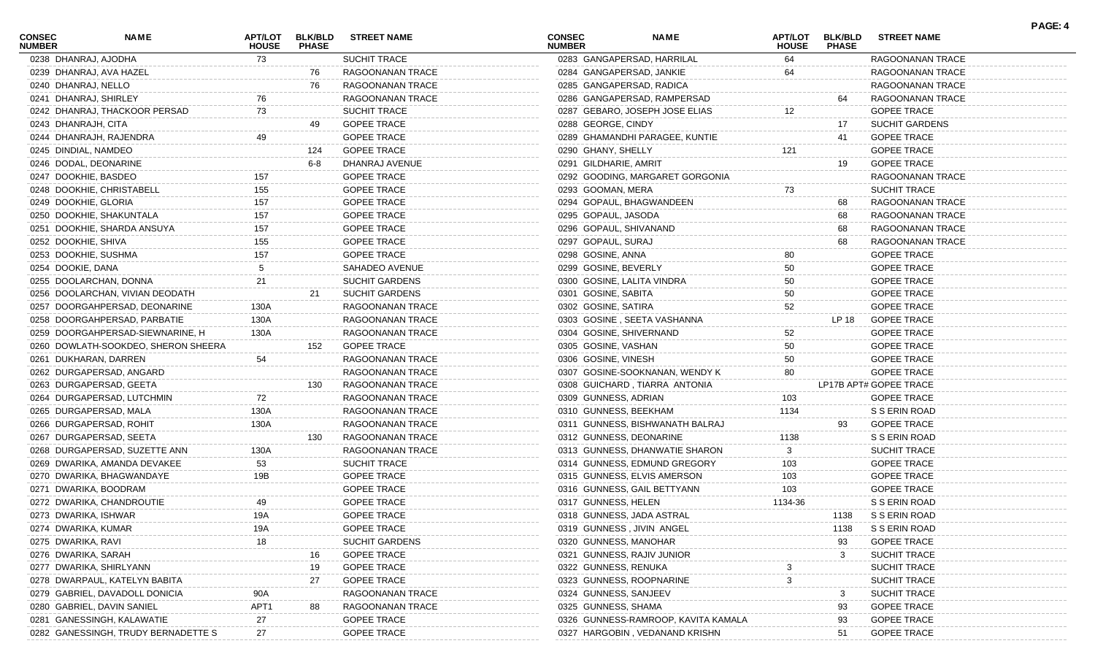| <b>CONSEC</b><br><b>NUMBER</b> | NAME                                | <b>APT/LOT</b><br><b>HOUSE</b> | <b>BLK/BLD</b><br><b>PHASE</b> | <b>STREET NAME</b>    | <b>CONSEC</b><br><b>NUMBER</b> |                                | <b>NAME</b>                         | APT/LOT<br><b>HOUSE</b> | <b>BLK/BLD</b><br><b>PHASE</b> | <b>STREET NAME</b>     | PAGE: 4 |
|--------------------------------|-------------------------------------|--------------------------------|--------------------------------|-----------------------|--------------------------------|--------------------------------|-------------------------------------|-------------------------|--------------------------------|------------------------|---------|
| 0238 DHANRAJ, AJODHA           |                                     | 73                             |                                | SUCHIT TRACE          |                                | 0283 GANGAPERSAD, HARRILAL     |                                     | 64                      |                                | RAGOONANAN TRACE       |         |
|                                | 0239 DHANRAJ, AVA HAZEL             |                                | 76                             | RAGOONANAN TRACE      |                                | 0284 GANGAPERSAD, JANKIE       |                                     | 64                      |                                | RAGOONANAN TRACE       |         |
| 0240 DHANRAJ, NELLO            |                                     |                                | 76                             | RAGOONANAN TRACE      |                                | 0285 GANGAPERSAD, RADICA       |                                     |                         |                                | RAGOONANAN TRACE       |         |
|                                | 0241 DHANRAJ, SHIRLEY               | 76                             |                                | RAGOONANAN TRACE      |                                | 0286 GANGAPERSAD, RAMPERSAD    |                                     |                         | 64                             | RAGOONANAN TRACE       |         |
|                                | 0242 DHANRAJ, THACKOOR PERSAD       | 73                             |                                | SUCHIT TRACE          |                                | 0287 GEBARO, JOSEPH JOSE ELIAS |                                     | 12                      |                                | <b>GOPEE TRACE</b>     |         |
| 0243 DHANRAJH, CITA            |                                     |                                | 49                             | <b>GOPEE TRACE</b>    |                                | 0288 GEORGE, CINDY             |                                     |                         | 17                             | <b>SUCHIT GARDENS</b>  |         |
|                                | 0244 DHANRAJH, RAJENDRA             | 49                             |                                | <b>GOPEE TRACE</b>    |                                | 0289 GHAMANDHI PARAGEE, KUNTIE |                                     |                         | 41                             | <b>GOPEE TRACE</b>     |         |
| 0245 DINDIAL, NAMDEO           |                                     |                                | 124                            | <b>GOPEE TRACE</b>    |                                | 0290 GHANY, SHELLY             |                                     | 121                     |                                | <b>GOPEE TRACE</b>     |         |
|                                | 0246 DODAL, DEONARINE               |                                | 6-8                            | DHANRAJ AVENUE        |                                | 0291 GILDHARIE, AMRIT          |                                     |                         | 19                             | <b>GOPEE TRACE</b>     |         |
| 0247 DOOKHIE, BASDEO           |                                     | 157                            |                                | <b>GOPEE TRACE</b>    |                                |                                | 0292 GOODING, MARGARET GORGONIA     |                         |                                | RAGOONANAN TRACE       |         |
|                                | 0248 DOOKHIE, CHRISTABELL           | 155                            |                                | <b>GOPEE TRACE</b>    |                                | 0293 GOOMAN, MERA              |                                     | 73                      |                                | <b>SUCHIT TRACE</b>    |         |
| 0249 DOOKHIE, GLORIA           |                                     | 157                            |                                | <b>GOPEE TRACE</b>    |                                | 0294 GOPAUL, BHAGWANDEEN       |                                     |                         | 68                             | RAGOONANAN TRACE       |         |
|                                | 0250 DOOKHIE, SHAKUNTALA            | 157                            |                                | <b>GOPEE TRACE</b>    |                                | 0295 GOPAUL, JASODA            |                                     |                         | 68                             | RAGOONANAN TRACE       |         |
|                                | 0251 DOOKHIE, SHARDA ANSUYA         | 157                            |                                | <b>GOPEE TRACE</b>    |                                | 0296 GOPAUL, SHIVANAND         |                                     |                         | 68                             | RAGOONANAN TRACE       |         |
| 0252 DOOKHIE, SHIVA            |                                     | 155                            |                                | <b>GOPEE TRACE</b>    |                                | 0297 GOPAUL, SURAJ             |                                     |                         | 68                             | RAGOONANAN TRACE       |         |
|                                | 0253 DOOKHIE, SUSHMA                | 157                            |                                | <b>GOPEE TRACE</b>    |                                | 0298 GOSINE, ANNA              |                                     | 80                      |                                | <b>GOPEE TRACE</b>     |         |
| 0254 DOOKIE, DANA              |                                     |                                |                                | SAHADEO AVENUE        |                                | 0299 GOSINE, BEVERLY           |                                     | 50                      |                                | <b>GOPEE TRACE</b>     |         |
|                                | 0255 DOOLARCHAN, DONNA              | 21                             |                                | SUCHIT GARDENS        |                                | 0300 GOSINE, LALITA VINDRA     |                                     | 50                      |                                | <b>GOPEE TRACE</b>     |         |
|                                | 0256 DOOLARCHAN, VIVIAN DEODATH     |                                | 21                             | <b>SUCHIT GARDENS</b> |                                | 0301 GOSINE, SABITA            |                                     | 50                      |                                | <b>GOPEE TRACE</b>     |         |
|                                | 0257 DOORGAHPERSAD, DEONARINE       | 130A                           |                                | RAGOONANAN TRACE      |                                | 0302 GOSINE, SATIRA            |                                     | 52                      |                                | <b>GOPEE TRACE</b>     |         |
|                                | 0258 DOORGAHPERSAD, PARBATIE        | 130A                           |                                | RAGOONANAN TRACE      |                                | 0303 GOSINE, SEETA VASHANNA    |                                     |                         | LP 18                          | <b>GOPEE TRACE</b>     |         |
|                                | 0259 DOORGAHPERSAD-SIEWNARINE, H    | 130A                           |                                | RAGOONANAN TRACE      |                                | 0304 GOSINE, SHIVERNAND        |                                     | 52                      |                                | <b>GOPEE TRACE</b>     |         |
|                                | 0260 DOWLATH-SOOKDEO, SHERON SHEERA |                                | 152                            | <b>GOPEE TRACE</b>    |                                | 0305 GOSINE, VASHAN            |                                     | 50                      |                                | <b>GOPEE TRACE</b>     |         |
|                                | 0261 DUKHARAN, DARREN               | 54                             |                                | RAGOONANAN TRACE      |                                | 0306 GOSINE, VINESH            |                                     | 50                      |                                | <b>GOPEE TRACE</b>     |         |
|                                | 0262 DURGAPERSAD, ANGARD            |                                |                                | RAGOONANAN TRACE      |                                |                                | 0307 GOSINE-SOOKNANAN, WENDY K      | 80                      |                                | <b>GOPEE TRACE</b>     |         |
|                                | 0263 DURGAPERSAD, GEETA             |                                | 130                            | RAGOONANAN TRACE      |                                | 0308 GUICHARD, TIARRA ANTONIA  |                                     |                         |                                | LP17B APT# GOPEE TRACE |         |
|                                | 0264 DURGAPERSAD, LUTCHMIN          | 72                             |                                | RAGOONANAN TRACE      |                                | 0309 GUNNESS, ADRIAN           |                                     | 103                     |                                | <b>GOPEE TRACE</b>     |         |
|                                | 0265 DURGAPERSAD, MALA              | 130A                           |                                | RAGOONANAN TRACE      |                                | 0310 GUNNESS, BEEKHAM          |                                     | 1134                    |                                | S S ERIN ROAD          |         |
|                                | 0266 DURGAPERSAD, ROHIT             | 130A                           |                                | RAGOONANAN TRACE      |                                |                                | 0311 GUNNESS, BISHWANATH BALRAJ     |                         | 93                             | <b>GOPEE TRACE</b>     |         |
|                                | 0267 DURGAPERSAD, SEETA             |                                | 130                            | RAGOONANAN TRACE      |                                | 0312 GUNNESS, DEONARINE        |                                     | 1138                    |                                | S S ERIN ROAD          |         |
|                                | 0268 DURGAPERSAD, SUZETTE ANN       | 130A                           |                                | RAGOONANAN TRACE      |                                |                                | 0313 GUNNESS, DHANWATIE SHARON      | 3                       |                                | <b>SUCHIT TRACE</b>    |         |
|                                | 0269 DWARIKA, AMANDA DEVAKEE        | 53                             |                                | SUCHIT TRACE          |                                | 0314 GUNNESS, EDMUND GREGORY   |                                     | 103                     |                                | <b>GOPEE TRACE</b>     |         |
|                                | 0270 DWARIKA, BHAGWANDAYE           | 19B                            |                                | <b>GOPEE TRACE</b>    |                                | 0315 GUNNESS, ELVIS AMERSON    |                                     | 103                     |                                | <b>GOPEE TRACE</b>     |         |
|                                | 0271 DWARIKA, BOODRAM               |                                |                                | <b>GOPEE TRACE</b>    |                                | 0316 GUNNESS, GAIL BETTYANN    |                                     | 103                     |                                | <b>GOPEE TRACE</b>     |         |
|                                | 0272 DWARIKA, CHANDROUTIE           | 49                             |                                | <b>GOPEE TRACE</b>    |                                | 0317 GUNNESS, HELEN            |                                     | 1134-36                 |                                | S S ERIN ROAD          |         |
| 0273 DWARIKA, ISHWAR           |                                     | 19A                            |                                | <b>GOPEE TRACE</b>    |                                | 0318 GUNNESS, JADA ASTRAL      |                                     |                         | 1138                           | S S ERIN ROAD          |         |
| 0274 DWARIKA, KUMAR            |                                     | 19A                            |                                | <b>GOPEE TRACE</b>    |                                | 0319 GUNNESS, JIVIN ANGEL      |                                     |                         | 1138                           | S S ERIN ROAD          |         |
| 0275 DWARIKA, RAVI             |                                     | 18                             |                                | <b>SUCHIT GARDENS</b> |                                | 0320 GUNNESS, MANOHAR          |                                     |                         | 93                             | <b>GOPEE TRACE</b>     |         |
| 0276 DWARIKA, SARAH            |                                     |                                |                                | <b>GOPEE TRACE</b>    |                                | 0321 GUNNESS, RAJIV JUNIOR     |                                     |                         |                                | <b>SUCHIT TRACE</b>    |         |
|                                | 0277 DWARIKA, SHIRLYANN             |                                | 16<br>19                       | <b>GOPEE TRACE</b>    |                                | 0322 GUNNESS, RENUKA           |                                     |                         | 3                              | <b>SUCHIT TRACE</b>    |         |
|                                |                                     |                                |                                |                       |                                |                                |                                     |                         |                                |                        |         |
|                                | 0278 DWARPAUL, KATELYN BABITA       |                                | 27                             | <b>GOPEE TRACE</b>    |                                | 0323 GUNNESS, ROOPNARINE       |                                     |                         |                                | <b>SUCHIT TRACE</b>    |         |
|                                | 0279 GABRIEL, DAVADOLL DONICIA      | 90A                            |                                | RAGOONANAN TRACE      |                                | 0324 GUNNESS, SANJEEV          |                                     |                         | 3                              | <b>SUCHIT TRACE</b>    |         |
|                                | 0280 GABRIEL, DAVIN SANIEL          | APT1                           | 88                             | RAGOONANAN TRACE      |                                | 0325 GUNNESS, SHAMA            |                                     |                         | 93                             | <b>GOPEE TRACE</b>     |         |
|                                | 0281 GANESSINGH, KALAWATIE          | 27                             |                                | <b>GOPEE TRACE</b>    |                                |                                | 0326 GUNNESS-RAMROOP, KAVITA KAMALA |                         | 93                             | <b>GOPEE TRACE</b>     |         |
|                                | 0282 GANESSINGH, TRUDY BERNADETTE S | 27                             |                                | <b>GOPEE TRACE</b>    |                                |                                | 0327 HARGOBIN, VEDANAND KRISHN      |                         | 51                             | <b>GOPEE TRACE</b>     |         |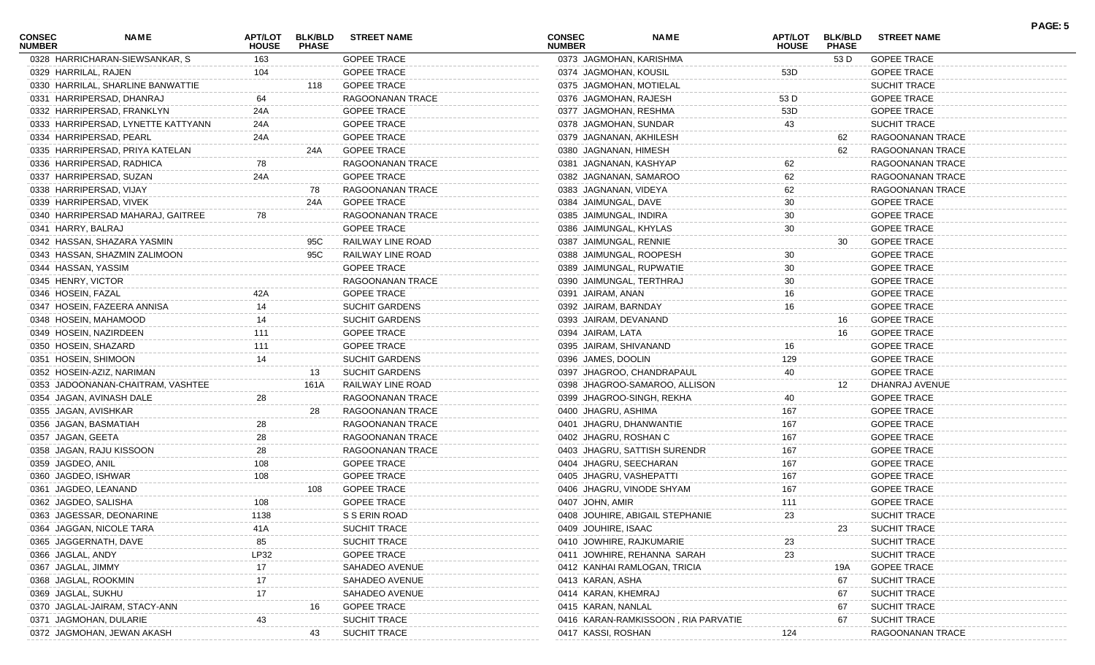| <b>CONSEC</b><br><b>NUMBER</b> | <b>NAME</b>                        | <b>APT/LOT</b><br><b>HOUSE</b> | <b>BLK/BLD</b><br><b>PHASE</b> | <b>STREET NAME</b>    | <b>CONSEC</b><br><b>NUMBER</b> |                           | <b>NAME</b>                         | <b>APT/LOT</b><br><b>HOUSE</b> | <b>BLK/BLD</b><br><b>PHASE</b> | <b>STREET NAME</b>  | PAGE: 5 |
|--------------------------------|------------------------------------|--------------------------------|--------------------------------|-----------------------|--------------------------------|---------------------------|-------------------------------------|--------------------------------|--------------------------------|---------------------|---------|
|                                | 0328 HARRICHARAN-SIEWSANKAR, S     | 163                            |                                | <b>GOPEE TRACE</b>    |                                | 0373 JAGMOHAN, KARISHMA   |                                     |                                | 53 D                           | <b>GOPEE TRACE</b>  |         |
| 0329 HARRILAL, RAJEN           |                                    | 104                            |                                | <b>GOPEE TRACE</b>    |                                | 0374 JAGMOHAN, KOUSIL     |                                     | 53D                            |                                | <b>GOPEE TRACE</b>  |         |
|                                | 0330 HARRILAL, SHARLINE BANWATTIE  |                                | 118                            | <b>GOPEE TRACE</b>    |                                | 0375 JAGMOHAN, MOTIELAL   |                                     |                                |                                | <b>SUCHIT TRACE</b> |         |
|                                | 0331 HARRIPERSAD, DHANRAJ          | 64                             |                                | RAGOONANAN TRACE      |                                | 0376 JAGMOHAN, RAJESH     |                                     | 53 D                           |                                | <b>GOPEE TRACE</b>  |         |
|                                | 0332 HARRIPERSAD, FRANKLYN         | 24A                            |                                | <b>GOPEE TRACE</b>    |                                | 0377 JAGMOHAN, RESHMA     |                                     | 53D                            |                                | <b>GOPEE TRACE</b>  |         |
|                                | 0333 HARRIPERSAD, LYNETTE KATTYANN | 24A                            |                                | <b>GOPEE TRACE</b>    |                                | 0378 JAGMOHAN, SUNDAR     |                                     | 43                             |                                | <b>SUCHIT TRACE</b> |         |
|                                | 0334 HARRIPERSAD, PEARL            | 24A                            |                                | <b>GOPEE TRACE</b>    |                                | 0379 JAGNANAN, AKHILESH   |                                     |                                | 62                             | RAGOONANAN TRACE    |         |
|                                | 0335 HARRIPERSAD, PRIYA KATELAN    |                                | 24A                            | <b>GOPEE TRACE</b>    |                                | 0380 JAGNANAN, HIMESH     |                                     |                                | 62                             | RAGOONANAN TRACE    |         |
|                                | 0336 HARRIPERSAD, RADHICA          | 78                             |                                | RAGOONANAN TRACE      |                                | 0381 JAGNANAN, KASHYAP    |                                     | 62                             |                                | RAGOONANAN TRACE    |         |
|                                | 0337 HARRIPERSAD, SUZAN            | 24A                            |                                | <b>GOPEE TRACE</b>    |                                | 0382 JAGNANAN, SAMAROO    |                                     | 62                             |                                | RAGOONANAN TRACE    |         |
|                                | 0338 HARRIPERSAD, VIJAY            |                                | 78                             | RAGOONANAN TRACE      |                                | 0383 JAGNANAN, VIDEYA     |                                     | 62                             |                                | RAGOONANAN TRACE    |         |
|                                | 0339 HARRIPERSAD, VIVEK            |                                | 24A                            | <b>GOPEE TRACE</b>    |                                | 0384 JAIMUNGAL, DAVE      |                                     | 30                             |                                | <b>GOPEE TRACE</b>  |         |
|                                | 0340 HARRIPERSAD MAHARAJ, GAITREE  | 78                             |                                | RAGOONANAN TRACE      |                                | 0385 JAIMUNGAL, INDIRA    |                                     | 30                             |                                | <b>GOPEE TRACE</b>  |         |
| 0341 HARRY, BALRAJ             |                                    |                                |                                | <b>GOPEE TRACE</b>    |                                | 0386 JAIMUNGAL, KHYLAS    |                                     | 30                             |                                | <b>GOPEE TRACE</b>  |         |
|                                | 0342 HASSAN, SHAZARA YASMIN        |                                | 95C                            | RAILWAY LINE ROAD     |                                | 0387 JAIMUNGAL, RENNIE    |                                     |                                | 30                             | <b>GOPEE TRACE</b>  |         |
|                                | 0343 HASSAN, SHAZMIN ZALIMOON      |                                | 95C                            | RAILWAY LINE ROAD     |                                | 0388 JAIMUNGAL, ROOPESH   |                                     | 30                             |                                | <b>GOPEE TRACE</b>  |         |
| 0344 HASSAN, YASSIM            |                                    |                                |                                | <b>GOPEE TRACE</b>    |                                | 0389 JAIMUNGAL, RUPWATIE  |                                     | 30                             |                                | <b>GOPEE TRACE</b>  |         |
| 0345 HENRY, VICTOR             |                                    |                                |                                | RAGOONANAN TRACE      |                                | 0390 JAIMUNGAL, TERTHRAJ  |                                     | 30                             |                                | <b>GOPEE TRACE</b>  |         |
| 0346 HOSEIN, FAZAL             |                                    | 42A                            |                                | <b>GOPEE TRACE</b>    |                                | 0391 JAIRAM, ANAN         |                                     | 16                             |                                | <b>GOPEE TRACE</b>  |         |
|                                | 0347 HOSEIN, FAZEERA ANNISA        | 14                             |                                | SUCHIT GARDENS        |                                | 0392 JAIRAM, BARNDAY      |                                     | 16                             |                                | <b>GOPEE TRACE</b>  |         |
|                                | 0348 HOSEIN, MAHAMOOD              | 14                             |                                | <b>SUCHIT GARDENS</b> |                                | 0393 JAIRAM, DEVANAND     |                                     |                                | 16                             | <b>GOPEE TRACE</b>  |         |
|                                | 0349 HOSEIN, NAZIRDEEN             | 111                            |                                | <b>GOPEE TRACE</b>    |                                | 0394 JAIRAM, LATA         |                                     |                                | 16                             | <b>GOPEE TRACE</b>  |         |
| 0350 HOSEIN, SHAZARD           |                                    | 111                            |                                | <b>GOPEE TRACE</b>    |                                | 0395 JAIRAM, SHIVANAND    |                                     | 16                             |                                | <b>GOPEE TRACE</b>  |         |
| 0351 HOSEIN, SHIMOON           |                                    | 14                             |                                | <b>SUCHIT GARDENS</b> |                                | 0396 JAMES, DOOLIN        |                                     | 129                            |                                | <b>GOPEE TRACE</b>  |         |
|                                | 0352 HOSEIN-AZIZ, NARIMAN          |                                | 13                             | <b>SUCHIT GARDENS</b> |                                |                           | 0397 JHAGROO, CHANDRAPAUL           | 40                             |                                | <b>GOPEE TRACE</b>  |         |
|                                | 0353 JADOONANAN-CHAITRAM, VASHTEE  |                                | 161A                           | RAILWAY LINE ROAD     |                                |                           | 0398 JHAGROO-SAMAROO, ALLISON       |                                | 12                             | DHANRAJ AVENUE      |         |
|                                | 0354 JAGAN, AVINASH DALE           | 28                             |                                | RAGOONANAN TRACE      |                                |                           | 0399 JHAGROO-SINGH, REKHA           | 40                             |                                | <b>GOPEE TRACE</b>  |         |
| 0355 JAGAN, AVISHKAR           |                                    |                                | 28                             | RAGOONANAN TRACE      |                                | 0400 JHAGRU, ASHIMA       |                                     | 167                            |                                | <b>GOPEE TRACE</b>  |         |
| 0356 JAGAN, BASMATIAH          |                                    | 28                             |                                | RAGOONANAN TRACE      |                                | 0401 JHAGRU, DHANWANTIE   |                                     | 167                            |                                | <b>GOPEE TRACE</b>  |         |
| 0357 JAGAN, GEETA              |                                    | 28                             |                                | RAGOONANAN TRACE      |                                |                           |                                     | 167                            |                                | <b>GOPEE TRACE</b>  |         |
|                                |                                    |                                |                                | RAGOONANAN TRACE      |                                | 0402 JHAGRU, ROSHAN C     |                                     | 167                            |                                | <b>GOPEE TRACE</b>  |         |
|                                | 0358 JAGAN, RAJU KISSOON           | 28                             |                                | <b>GOPEE TRACE</b>    |                                | 0404 JHAGRU, SEECHARAN    | 0403 JHAGRU, SATTISH SURENDR        | 167                            |                                |                     |         |
| 0359 JAGDEO, ANIL              |                                    | 108                            |                                |                       |                                |                           |                                     |                                |                                | <b>GOPEE TRACE</b>  |         |
| 0360 JAGDEO, ISHWAR            |                                    | 108                            |                                | <b>GOPEE TRACE</b>    |                                | 0405 JHAGRU, VASHEPATTI   |                                     | 167                            |                                | <b>GOPEE TRACE</b>  |         |
| 0361 JAGDEO, LEANAND           |                                    |                                | 108                            | <b>GOPEE TRACE</b>    |                                | 0406 JHAGRU, VINODE SHYAM |                                     | 167                            |                                | <b>GOPEE TRACE</b>  |         |
| 0362 JAGDEO, SALISHA           |                                    | 108                            |                                | <b>GOPEE TRACE</b>    |                                | 0407 JOHN, AMIR           |                                     | 111                            |                                | <b>GOPEE TRACE</b>  |         |
|                                | 0363 JAGESSAR, DEONARINE           | 1138                           |                                | S S ERIN ROAD         |                                |                           | 0408 JOUHIRE, ABIGAIL STEPHANIE     | 23                             |                                | SUCHIT TRACE        |         |
|                                | 0364 JAGGAN, NICOLE TARA           | 41 A                           |                                | SUCHIT TRACE          |                                | 0409 JOUHIRE, ISAAC       |                                     |                                | 23                             | <b>SUCHIT TRACE</b> |         |
|                                | 0365 JAGGERNATH, DAVE              | 85                             |                                | SUCHIT TRACE          |                                | 0410 JOWHIRE, RAJKUMARIE  |                                     | 23                             |                                | SUCHIT TRACE        |         |
| 0366 JAGLAL, ANDY              |                                    | LP32                           |                                | <b>GOPEE TRACE</b>    |                                |                           | 0411 JOWHIRE, REHANNA SARAH         | 23                             |                                | <b>SUCHIT TRACE</b> |         |
| 0367 JAGLAL, JIMMY             |                                    | 17                             |                                | SAHADEO AVENUE        |                                |                           | 0412 KANHAI RAMLOGAN, TRICIA        |                                | 19A                            | <b>GOPEE TRACE</b>  |         |
| 0368 JAGLAL, ROOKMIN           |                                    |                                |                                | SAHADEO AVENUE        |                                | 0413 KARAN, ASHA          |                                     |                                | 67                             | <b>SUCHIT TRACE</b> |         |
| 0369 JAGLAL, SUKHU             |                                    |                                |                                | SAHADEO AVENUE        |                                | 0414 KARAN, KHEMRAJ       |                                     |                                | 67                             | <b>SUCHIT TRACE</b> |         |
|                                | 0370 JAGLAL-JAIRAM, STACY-ANN      |                                | 16                             | <b>GOPEE TRACE</b>    |                                | 0415 KARAN, NANLAL        |                                     |                                | 67                             | SUCHIT TRACE        |         |
|                                | 0371 JAGMOHAN, DULARIE             |                                |                                | <b>SUCHIT TRACE</b>   |                                |                           | 0416 KARAN-RAMKISSOON, RIA PARVATIE |                                | 67                             | SUCHIT TRACE        |         |
|                                | 0372 JAGMOHAN, JEWAN AKASH         |                                | 43                             | <b>SUCHIT TRACE</b>   |                                | 0417 KASSI, ROSHAN        |                                     | 124                            |                                | RAGOONANAN TRACE    |         |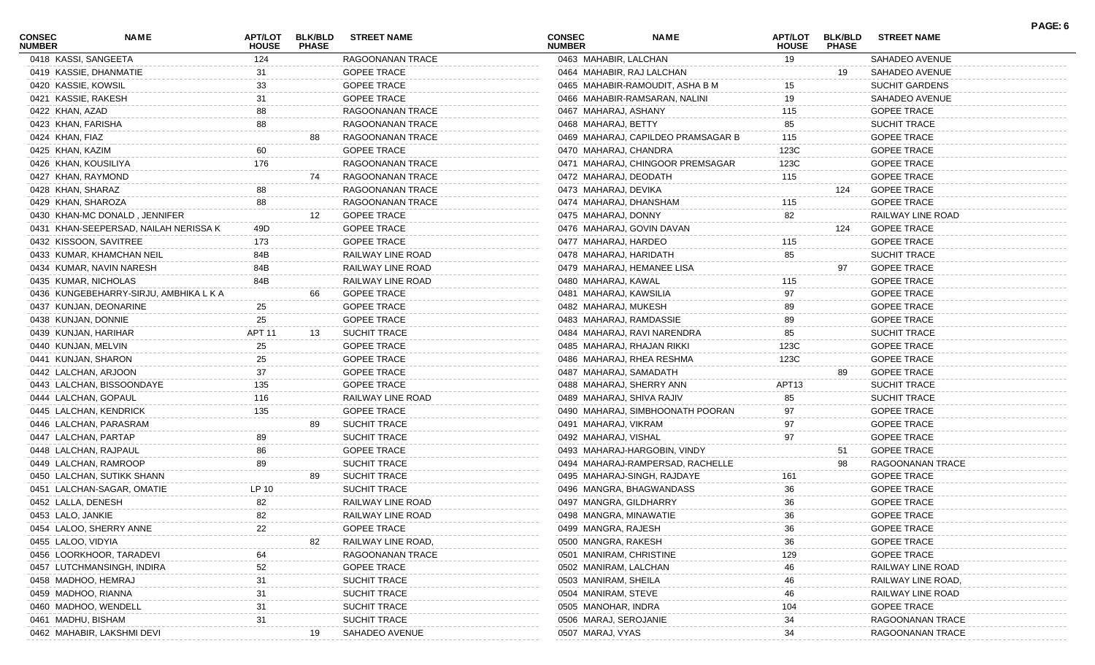| <b>CONSEC</b><br><b>NUMBER</b> | <b>NAME</b>                            | APT/LOT<br><b>HOUSE</b> | <b>BLK/BLD</b><br><b>PHASE</b> | <b>STREET NAME</b>  | <b>CONSEC</b><br><b>NUMBER</b> | <b>NAME</b>                        | <b>APT/LOT</b><br><b>HOUSE</b> | <b>BLK/BLD</b><br><b>PHASE</b> | <b>STREET NAME</b>    | PAGE: 6 |
|--------------------------------|----------------------------------------|-------------------------|--------------------------------|---------------------|--------------------------------|------------------------------------|--------------------------------|--------------------------------|-----------------------|---------|
| 0418 KASSI, SANGEETA           |                                        | 124                     |                                | RAGOONANAN TRACE    | 0463 MAHABIR, LALCHAN          |                                    | 19                             |                                | SAHADEO AVENUE        |         |
|                                | 0419 KASSIE, DHANMATIE                 | 31                      |                                | <b>GOPEE TRACE</b>  |                                | 0464 MAHABIR, RAJ LALCHAN          |                                | 19                             | SAHADEO AVENUE        |         |
| 0420 KASSIE, KOWSIL            |                                        | 33                      |                                | <b>GOPEE TRACE</b>  |                                | 0465 MAHABIR-RAMOUDIT, ASHA B M    | 15                             |                                | <b>SUCHIT GARDENS</b> |         |
| 0421 KASSIE, RAKESH            |                                        | 31                      |                                | <b>GOPEE TRACE</b>  |                                | 0466 MAHABIR-RAMSARAN, NALINI      | 19                             |                                | SAHADEO AVENUE        |         |
| 0422 KHAN, AZAD                |                                        | 88                      |                                | RAGOONANAN TRACE    | 0467 MAHARAJ, ASHANY           |                                    | 115                            |                                | <b>GOPEE TRACE</b>    |         |
| 0423 KHAN, FARISHA             |                                        | 88                      |                                | RAGOONANAN TRACE    | 0468 MAHARAJ, BETTY            |                                    | 85                             |                                | <b>SUCHIT TRACE</b>   |         |
| 0424 KHAN, FIAZ                |                                        |                         |                                | RAGOONANAN TRACE    |                                | 0469 MAHARAJ, CAPILDEO PRAMSAGAR B | 115                            |                                | <b>GOPEE TRACE</b>    |         |
| 0425 KHAN, KAZIM               |                                        | 60                      |                                | <b>GOPEE TRACE</b>  | 0470 MAHARAJ, CHANDRA          |                                    | 123C                           |                                | <b>GOPEE TRACE</b>    |         |
| 0426 KHAN, KOUSILIYA           |                                        | 176                     |                                | RAGOONANAN TRACE    |                                | 0471 MAHARAJ, CHINGOOR PREMSAGAR   | 123C                           |                                | <b>GOPEE TRACE</b>    |         |
| 0427 KHAN, RAYMOND             |                                        |                         | 74                             | RAGOONANAN TRACE    | 0472 MAHARAJ, DEODATH          |                                    | 115                            |                                | <b>GOPEE TRACE</b>    |         |
| 0428 KHAN, SHARAZ              |                                        | 88                      |                                | RAGOONANAN TRACE    | 0473 MAHARAJ, DEVIKA           |                                    |                                | 124                            | <b>GOPEE TRACE</b>    |         |
| 0429 KHAN, SHAROZA             |                                        | 88                      |                                | RAGOONANAN TRACE    | 0474 MAHARAJ, DHANSHAM         |                                    | 115                            |                                | <b>GOPEE TRACE</b>    |         |
|                                | 0430 KHAN-MC DONALD, JENNIFER          |                         | 12                             | <b>GOPEE TRACE</b>  | 0475 MAHARAJ, DONNY            |                                    | 82                             |                                | RAILWAY LINE ROAD     |         |
|                                | 0431 KHAN-SEEPERSAD, NAILAH NERISSA K  | 49D                     |                                | <b>GOPEE TRACE</b>  |                                | 0476 MAHARAJ, GOVIN DAVAN          |                                | 124                            | <b>GOPEE TRACE</b>    |         |
|                                | 0432 KISSOON, SAVITREE                 | 173                     |                                | <b>GOPEE TRACE</b>  | 0477 MAHARAJ, HARDEO           |                                    | 115                            |                                | <b>GOPEE TRACE</b>    |         |
|                                | 0433 KUMAR, KHAMCHAN NEIL              | 84B                     |                                | RAILWAY LINE ROAD   | 0478 MAHARAJ, HARIDATH         |                                    | 85                             |                                | <b>SUCHIT TRACE</b>   |         |
|                                | 0434 KUMAR, NAVIN NARESH               | 84B                     |                                | RAILWAY LINE ROAD   |                                | 0479 MAHARAJ, HEMANEE LISA         |                                | 97                             | <b>GOPEE TRACE</b>    |         |
|                                | 0435 KUMAR, NICHOLAS                   | 84B                     |                                | RAILWAY LINE ROAD   | 0480 MAHARAJ, KAWAL            |                                    | 115                            |                                | <b>GOPEE TRACE</b>    |         |
|                                | 0436 KUNGEBEHARRY-SIRJU, AMBHIKA L K A |                         | 66                             | <b>GOPEE TRACE</b>  | 0481 MAHARAJ, KAWSILIA         |                                    | 97                             |                                | <b>GOPEE TRACE</b>    |         |
|                                | 0437 KUNJAN, DEONARINE                 | 25                      |                                | <b>GOPEE TRACE</b>  | 0482 MAHARAJ, MUKESH           |                                    | 89                             |                                | <b>GOPEE TRACE</b>    |         |
| 0438 KUNJAN, DONNIE            |                                        | 25                      |                                | <b>GOPEE TRACE</b>  | 0483 MAHARAJ, RAMDASSIE        |                                    | 89                             |                                | <b>GOPEE TRACE</b>    |         |
|                                | 0439 KUNJAN, HARIHAR                   | APT <sub>11</sub>       | 13                             | <b>SUCHIT TRACE</b> |                                | 0484 MAHARAJ, RAVI NARENDRA        | 85                             |                                | <b>SUCHIT TRACE</b>   |         |
| 0440 KUNJAN, MELVIN            |                                        | 25                      |                                | <b>GOPEE TRACE</b>  |                                | 0485 MAHARAJ, RHAJAN RIKKI         | 123C                           |                                | <b>GOPEE TRACE</b>    |         |
|                                | 0441 KUNJAN, SHARON                    | 25                      |                                | <b>GOPEE TRACE</b>  |                                | 0486 MAHARAJ, RHEA RESHMA          | 123C                           |                                | <b>GOPEE TRACE</b>    |         |
|                                | 0442 LALCHAN, ARJOON                   | 37                      |                                | <b>GOPEE TRACE</b>  | 0487 MAHARAJ, SAMADATH         |                                    |                                | 89                             | <b>GOPEE TRACE</b>    |         |
|                                | 0443 LALCHAN, BISSOONDAYE              | 135                     |                                | <b>GOPEE TRACE</b>  | 0488 MAHARAJ, SHERRY ANN       |                                    | APT13                          |                                | <b>SUCHIT TRACE</b>   |         |
|                                | 0444 LALCHAN, GOPAUL                   | 116                     |                                | RAILWAY LINE ROAD   | 0489 MAHARAJ, SHIVA RAJIV      |                                    | 85                             |                                | <b>SUCHIT TRACE</b>   |         |
|                                | 0445 LALCHAN, KENDRICK                 | 135                     |                                | <b>GOPEE TRACE</b>  |                                | 0490 MAHARAJ, SIMBHOONATH POORAN   | 97                             |                                | <b>GOPEE TRACE</b>    |         |
|                                | 0446 LALCHAN, PARASRAM                 |                         |                                | <b>SUCHIT TRACE</b> | 0491 MAHARAJ, VIKRAM           |                                    | 97                             |                                | <b>GOPEE TRACE</b>    |         |
|                                |                                        |                         |                                | SUCHIT TRACE        |                                |                                    | 97                             |                                | <b>GOPEE TRACE</b>    |         |
|                                | 0447 LALCHAN, PARTAP                   | 89                      |                                | <b>GOPEE TRACE</b>  | 0492 MAHARAJ, VISHAL           | 0493 MAHARAJ-HARGOBIN, VINDY       |                                |                                |                       |         |
|                                | 0448 LALCHAN, RAJPAUL                  | 86                      |                                |                     |                                |                                    |                                | 51                             | <b>GOPEE TRACE</b>    |         |
|                                | 0449 LALCHAN, RAMROOP                  | 89                      |                                | <b>SUCHIT TRACE</b> |                                | 0494 MAHARAJ-RAMPERSAD, RACHELLE   |                                | 98                             | RAGOONANAN TRACE      |         |
|                                | 0450 LALCHAN, SUTIKK SHANN             |                         | 89                             | <b>SUCHIT TRACE</b> |                                | 0495 MAHARAJ-SINGH, RAJDAYE        | 161                            |                                | <b>GOPEE TRACE</b>    |         |
|                                | 0451 LALCHAN-SAGAR, OMATIE             | LP 10                   |                                | <b>SUCHIT TRACE</b> |                                | 0496 MANGRA, BHAGWANDASS           | 36                             |                                | <b>GOPEE TRACE</b>    |         |
| 0452 LALLA, DENESH             |                                        | 82                      |                                | RAILWAY LINE ROAD   | 0497 MANGRA, GILDHARRY         |                                    | 36                             |                                | <b>GOPEE TRACE</b>    |         |
| 0453 LALO, JANKIE              |                                        | 82                      |                                | RAILWAY LINE ROAD   | 0498 MANGRA, MINAWATIE         |                                    | 36                             |                                | <b>GOPEE TRACE</b>    |         |
|                                | 0454 LALOO, SHERRY ANNE                | 22                      |                                | <b>GOPEE TRACE</b>  | 0499 MANGRA, RAJESH            |                                    | 36                             |                                | <b>GOPEE TRACE</b>    |         |
| 0455 LALOO, VIDYIA             |                                        |                         | 82                             | RAILWAY LINE ROAD   | 0500 MANGRA, RAKESH            |                                    | 36                             |                                | <b>GOPEE TRACE</b>    |         |
|                                | 0456 LOORKHOOR, TARADEVI               |                         |                                | RAGOONANAN TRACE    | 0501 MANIRAM, CHRISTINE        |                                    | 129                            |                                | <b>GOPEE TRACE</b>    |         |
|                                | 0457 LUTCHMANSINGH, INDIRA             | 52                      |                                | <b>GOPEE TRACE</b>  | 0502 MANIRAM, LALCHAN          |                                    | 46                             |                                | RAILWAY LINE ROAD     |         |
|                                | 0458 MADHOO, HEMRAJ                    | 31                      |                                | SUCHIT TRACE        | 0503 MANIRAM, SHEILA           |                                    | 46                             |                                | RAILWAY LINE ROAD,    |         |
|                                | 0459 MADHOO, RIANNA                    | 31                      |                                | SUCHIT TRACE        | 0504 MANIRAM, STEVE            |                                    | 46                             |                                | RAILWAY LINE ROAD     |         |
|                                | 0460 MADHOO, WENDELL                   |                         |                                | SUCHIT TRACE        | 0505 MANOHAR, INDRA            |                                    | 104                            |                                | <b>GOPEE TRACE</b>    |         |
| 0461 MADHU, BISHAM             |                                        |                         |                                | SUCHIT TRACE        | 0506 MARAJ, SEROJANIE          |                                    | 34                             |                                | RAGOONANAN TRACE      |         |
|                                | 0462 MAHABIR, LAKSHMI DEVI             |                         | 19                             | SAHADEO AVENUE      | 0507 MARAJ, VYAS               |                                    | 34                             |                                | RAGOONANAN TRACE      |         |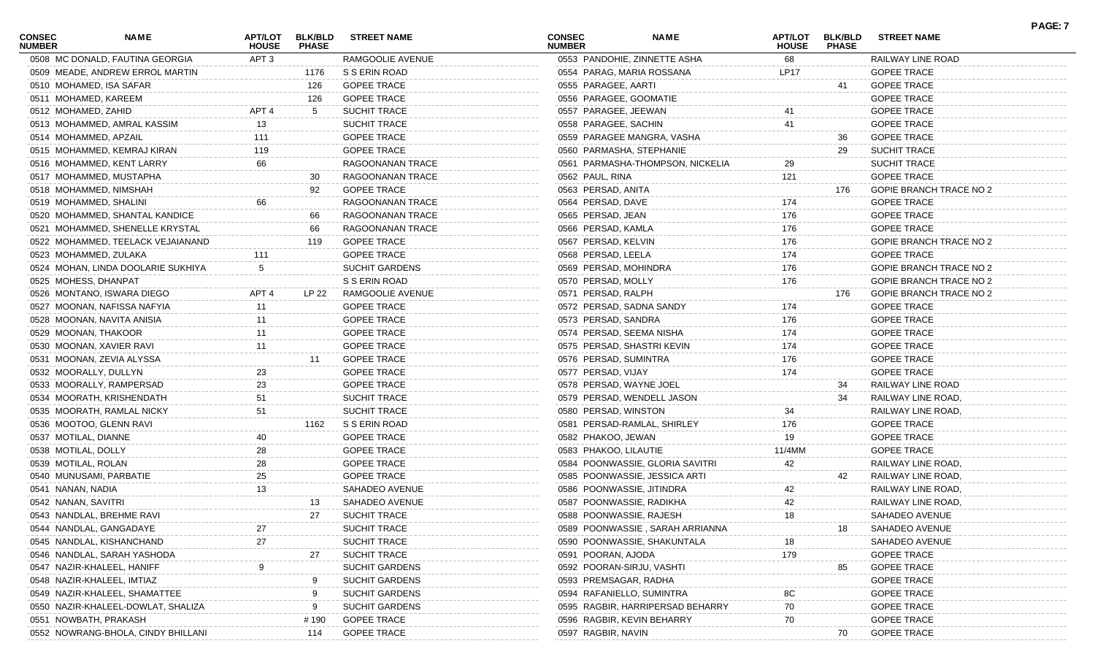| <b>CONSEC</b><br><b>NUMBER</b> | <b>NAME</b>                        | <b>HOUSE</b>     | <b>PHASE</b> | APT/LOT BLK/BLD STREET NAME | <b>CONSEC</b><br><b>NUMBER</b> | <b>NAME</b>                      | <b>HOUSE</b> | <b>PHASE</b> | APT/LOT BLK/BLD STREET NAME    | <u>FAGL.I</u> |
|--------------------------------|------------------------------------|------------------|--------------|-----------------------------|--------------------------------|----------------------------------|--------------|--------------|--------------------------------|---------------|
|                                | 0508 MC DONALD, FAUTINA GEORGIA    | APT <sub>3</sub> |              | RAMGOOLIE AVENUE            |                                | 0553 PANDOHIE, ZINNETTE ASHA     | 68           |              | RAILWAY LINE ROAD              |               |
|                                | 0509 MEADE, ANDREW ERROL MARTIN    |                  | 1176         | S S ERIN ROAD               |                                | 0554 PARAG, MARIA ROSSANA        | LP17         |              | <b>GOPEE TRACE</b>             |               |
|                                | 0510 MOHAMED, ISA SAFAR            |                  | 126          | <b>GOPEE TRACE</b>          |                                | 0555 PARAGEE, AARTI              |              | 41           | <b>GOPEE TRACE</b>             |               |
|                                | 0511 MOHAMED, KAREEM               |                  | 126          | <b>GOPEE TRACE</b>          |                                | 0556 PARAGEE, GOOMATIE           |              |              | <b>GOPEE TRACE</b>             |               |
|                                | 0512 MOHAMED, ZAHID                | APT <sub>4</sub> | 5            | <b>SUCHIT TRACE</b>         |                                | 0557 PARAGEE, JEEWAN             | 41           |              | <b>GOPEE TRACE</b>             |               |
|                                | 0513 MOHAMMED, AMRAL KASSIM        | 13               |              | <b>SUCHIT TRACE</b>         |                                | 0558 PARAGEE, SACHIN             | 41           |              | <b>GOPEE TRACE</b>             |               |
|                                | 0514 MOHAMMED, APZAIL              | 111              |              | <b>GOPEE TRACE</b>          |                                | 0559 PARAGEE MANGRA, VASHA       |              | 36           | <b>GOPEE TRACE</b>             |               |
|                                | 0515 MOHAMMED, KEMRAJ KIRAN        | 119              |              | <b>GOPEE TRACE</b>          |                                | 0560 PARMASHA, STEPHANIE         |              | 29           | <b>SUCHIT TRACE</b>            |               |
|                                | 0516 MOHAMMED, KENT LARRY          | 66               |              | RAGOONANAN TRACE            |                                | 0561 PARMASHA-THOMPSON, NICKELIA | 29           |              | SUCHIT TRACE                   |               |
|                                | 0517 MOHAMMED, MUSTAPHA            |                  | 30           | RAGOONANAN TRACE            |                                | 0562 PAUL, RINA                  | 121          |              | <b>GOPEE TRACE</b>             |               |
|                                | 0518 MOHAMMED, NIMSHAH             |                  | 92           | <b>GOPEE TRACE</b>          |                                | 0563 PERSAD, ANITA               |              | 176          | <b>GOPIE BRANCH TRACE NO 2</b> |               |
|                                | 0519 MOHAMMED, SHALINI             | 66               |              | RAGOONANAN TRACE            |                                | 0564 PERSAD, DAVE                | 174          |              | <b>GOPEE TRACE</b>             |               |
|                                | 0520 MOHAMMED, SHANTAL KANDICE     |                  | 66           | RAGOONANAN TRACE            |                                | 0565 PERSAD, JEAN                | 176          |              | <b>GOPEE TRACE</b>             |               |
|                                | 0521 MOHAMMED, SHENELLE KRYSTAL    |                  | 66           | RAGOONANAN TRACE            |                                | 0566 PERSAD, KAMLA               | 176          |              | <b>GOPEE TRACE</b>             |               |
|                                | 0522 MOHAMMED, TEELACK VEJAIANAND  |                  | 119          | <b>GOPEE TRACE</b>          |                                | 0567 PERSAD, KELVIN              | 176          |              | GOPIE BRANCH TRACE NO 2        |               |
|                                | 0523 MOHAMMED, ZULAKA              | 111              |              | <b>GOPEE TRACE</b>          |                                | 0568 PERSAD, LEELA               | 174          |              | <b>GOPEE TRACE</b>             |               |
|                                | 0524 MOHAN, LINDA DOOLARIE SUKHIYA |                  |              | SUCHIT GARDENS              |                                | 0569 PERSAD, MOHINDRA            | 176          |              | GOPIE BRANCH TRACE NO 2        |               |
|                                | 0525 MOHESS, DHANPAT               |                  |              | S S ERIN ROAD               |                                | 0570 PERSAD, MOLLY               | 176          |              | GOPIE BRANCH TRACE NO 2        |               |
|                                | 0526 MONTANO, ISWARA DIEGO         | APT <sub>4</sub> | LP 22        | RAMGOOLIE AVENUE            |                                | 0571 PERSAD, RALPH               |              | 176          | <b>GOPIE BRANCH TRACE NO 2</b> |               |
|                                | 0527 MOONAN, NAFISSA NAFYIA        | 11               |              | <b>GOPEE TRACE</b>          |                                | 0572 PERSAD, SADNA SANDY         | 174          |              | <b>GOPEE TRACE</b>             |               |
|                                | 0528 MOONAN, NAVITA ANISIA         |                  |              | <b>GOPEE TRACE</b>          |                                | 0573 PERSAD, SANDRA              | 176          |              | <b>GOPEE TRACE</b>             |               |
|                                | 0529 MOONAN, THAKOOR               |                  |              | <b>GOPEE TRACE</b>          |                                | 0574 PERSAD, SEEMA NISHA         | 174          |              | <b>GOPEE TRACE</b>             |               |
|                                | 0530 MOONAN, XAVIER RAVI           |                  |              | <b>GOPEE TRACE</b>          |                                | 0575 PERSAD, SHASTRI KEVIN       | 174          |              | <b>GOPEE TRACE</b>             |               |
|                                | 0531 MOONAN, ZEVIA ALYSSA          |                  | 11           | <b>GOPEE TRACE</b>          |                                | 0576 PERSAD, SUMINTRA            | 176          |              | <b>GOPEE TRACE</b>             |               |
|                                | 0532 MOORALLY, DULLYN              | 23               |              | <b>GOPEE TRACE</b>          |                                | 0577 PERSAD, VIJAY               | 174          |              | <b>GOPEE TRACE</b>             |               |
|                                | 0533 MOORALLY, RAMPERSAD           | 23               |              | <b>GOPEE TRACE</b>          |                                | 0578 PERSAD, WAYNE JOEL          |              | 34           | RAILWAY LINE ROAD              |               |
|                                | 0534 MOORATH, KRISHENDATH          | 51               |              | <b>SUCHIT TRACE</b>         |                                | 0579 PERSAD, WENDELL JASON       |              | 34           | RAILWAY LINE ROAD,             |               |
|                                | 0535 MOORATH, RAMLAL NICKY         | 51               |              | SUCHIT TRACE                |                                | 0580 PERSAD, WINSTON             | 34           |              | RAILWAY LINE ROAD,             |               |
|                                | 0536 MOOTOO, GLENN RAVI            |                  | 1162         | S S ERIN ROAD               |                                | 0581 PERSAD-RAMLAL, SHIRLEY      | 176          |              | <b>GOPEE TRACE</b>             |               |
|                                | 0537 MOTILAL, DIANNE               | 40               |              | <b>GOPEE TRACE</b>          |                                | 0582 PHAKOO, JEWAN               | 19           |              | <b>GOPEE TRACE</b>             |               |
|                                | 0538 MOTILAL, DOLLY                | 28               |              | <b>GOPEE TRACE</b>          |                                | 0583 PHAKOO, LILAUTIE            | 11/4MM       |              | <b>GOPEE TRACE</b>             |               |
|                                | 0539 MOTILAL, ROLAN                | 28               |              | <b>GOPEE TRACE</b>          |                                | 0584 POONWASSIE, GLORIA SAVITRI  | 42           |              | RAILWAY LINE ROAD,             |               |
|                                | 0540 MUNUSAMI, PARBATIE            | 25               |              | <b>GOPEE TRACE</b>          |                                | 0585 POONWASSIE, JESSICA ARTI    |              | 42           | RAILWAY LINE ROAD,             |               |
| 0541 NANAN, NADIA              |                                    | 13               |              | SAHADEO AVENUE              |                                | 0586 POONWASSIE, JITINDRA        | 42           |              | RAILWAY LINE ROAD,             |               |
|                                | 0542 NANAN, SAVITRI                |                  | 13           | SAHADEO AVENUE              |                                | 0587 POONWASSIE, RADIKHA         | 42           |              | RAILWAY LINE ROAD,             |               |
|                                | 0543 NANDLAL, BREHME RAVI          |                  |              | 27 SUCHIT TRACE             |                                | 0588 POONWASSIE, RAJESH          |              |              | SAHADEO AVENUE                 |               |
|                                | 0544 NANDLAL, GANGADAYE            |                  |              | <b>SUCHIT TRACE</b>         |                                | 0589 POONWASSIE, SARAH ARRIANNA  |              | 18           | SAHADEO AVENUE                 |               |
|                                | 0545 NANDLAL, KISHANCHAND          |                  |              | <b>SUCHIT TRACE</b>         |                                | 0590 POONWASSIE, SHAKUNTALA      |              |              | SAHADEO AVENUE                 |               |
|                                | 0546 NANDLAL, SARAH YASHODA        |                  | 27           | <b>SUCHIT TRACE</b>         |                                | 0591 POORAN, AJODA               | 179          |              | <b>GOPEE TRACE</b>             |               |
|                                | 0547 NAZIR-KHALEEL, HANIFF         |                  |              | <b>SUCHIT GARDENS</b>       |                                | 0592 POORAN-SIRJU, VASHTI        |              | 85           | <b>GOPEE TRACE</b>             |               |
|                                | 0548 NAZIR-KHALEEL, IMTIAZ         |                  |              | <b>SUCHIT GARDENS</b>       |                                | 0593 PREMSAGAR, RADHA            |              |              | <b>GOPEE TRACE</b>             |               |
|                                | 0549 NAZIR-KHALEEL, SHAMATTEE      |                  |              | <b>SUCHIT GARDENS</b>       |                                | 0594 RAFANIELLO, SUMINTRA        |              |              | <b>GOPEE TRACE</b>             |               |
|                                | 0550 NAZIR-KHALEEL-DOWLAT, SHALIZA |                  |              | <b>SUCHIT GARDENS</b>       |                                | 0595 RAGBIR, HARRIPERSAD BEHARRY | 70           |              | <b>GOPEE TRACE</b>             |               |
|                                | 0551 NOWBATH, PRAKASH              |                  | # 190        | <b>GOPEE TRACE</b>          |                                | 0596 RAGBIR, KEVIN BEHARRY       | 70           |              | <b>GOPEE TRACE</b>             |               |
|                                | 0552 NOWRANG-BHOLA, CINDY BHILLANI |                  | 114          | <b>GOPEE TRACE</b>          |                                | 0597 RAGBIR, NAVIN               |              | 70           | <b>GOPEE TRACE</b>             |               |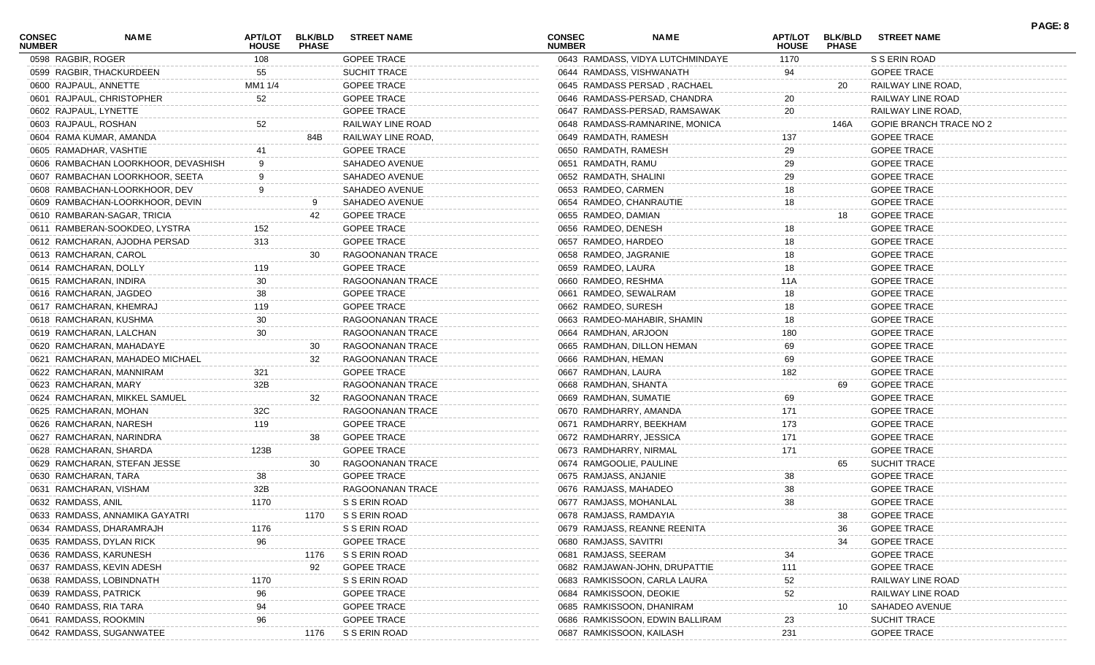| CONSEC<br><b>NUMBER</b> | <b>NAME</b>                         | <b>APT/LOT</b><br><b>HOUSE</b> | <b>BLK/BLD</b><br><b>PHASE</b> | <b>STREET NAME</b>  | <b>CONSEC</b><br><b>NUMBER</b> | <b>NAME</b>                      | <b>HOUSE</b> | APT/LOT BLK/BLD<br><b>PHASE</b> | <b>STREET NAME</b>             |
|-------------------------|-------------------------------------|--------------------------------|--------------------------------|---------------------|--------------------------------|----------------------------------|--------------|---------------------------------|--------------------------------|
|                         | 0598 RAGBIR, ROGER                  | 108                            |                                | <b>GOPEE TRACE</b>  |                                | 0643 RAMDASS, VIDYA LUTCHMINDAYE | 1170         |                                 | S S ERIN ROAD                  |
|                         | 0599 RAGBIR, THACKURDEEN            | 55                             |                                | <b>SUCHIT TRACE</b> |                                | 0644 RAMDASS, VISHWANATH         | 94           |                                 | <b>GOPEE TRACE</b>             |
|                         | 0600 RAJPAUL, ANNETTE               | MM1 1/4                        |                                | <b>GOPEE TRACE</b>  |                                | 0645 RAMDASS PERSAD, RACHAEL     |              | 20                              | RAILWAY LINE ROAD,             |
|                         | 0601 RAJPAUL, CHRISTOPHER           | 52                             |                                | <b>GOPEE TRACE</b>  |                                | 0646 RAMDASS-PERSAD, CHANDRA     | 20           |                                 | RAILWAY LINE ROAD              |
|                         | 0602 RAJPAUL, LYNETTE               |                                |                                | <b>GOPEE TRACE</b>  |                                | 0647 RAMDASS-PERSAD, RAMSAWAK    | 20           |                                 | RAILWAY LINE ROAD,             |
|                         | 0603 RAJPAUL, ROSHAN                | 52                             |                                | RAILWAY LINE ROAD   |                                | 0648 RAMDASS-RAMNARINE, MONICA   |              | 146A                            | <b>GOPIE BRANCH TRACE NO 2</b> |
|                         | 0604 RAMA KUMAR, AMANDA             |                                | 84B                            | RAILWAY LINE ROAD,  |                                | 0649 RAMDATH, RAMESH             | 137          |                                 | <b>GOPEE TRACE</b>             |
|                         | 0605 RAMADHAR, VASHTIE              |                                |                                | <b>GOPEE TRACE</b>  |                                | 0650 RAMDATH, RAMESH             | 29           |                                 | <b>GOPEE TRACE</b>             |
|                         | 0606 RAMBACHAN LOORKHOOR, DEVASHISH | 9                              |                                | SAHADEO AVENUE      |                                | 0651 RAMDATH, RAMU               | 29           |                                 | <b>GOPEE TRACE</b>             |
|                         | 0607 RAMBACHAN LOORKHOOR, SEETA     |                                |                                | SAHADEO AVENUE      |                                | 0652 RAMDATH, SHALINI            | 29           |                                 | <b>GOPEE TRACE</b>             |
|                         | 0608 RAMBACHAN-LOORKHOOR, DEV       |                                |                                | SAHADEO AVENUE      |                                | 0653 RAMDEO, CARMEN              | 18           |                                 | <b>GOPEE TRACE</b>             |
|                         | 0609 RAMBACHAN-LOORKHOOR, DEVIN     |                                | 9                              | SAHADEO AVENUE      |                                | 0654 RAMDEO, CHANRAUTIE          | 18           |                                 | <b>GOPEE TRACE</b>             |
|                         | 0610 RAMBARAN-SAGAR, TRICIA         |                                | 42                             | <b>GOPEE TRACE</b>  |                                | 0655 RAMDEO, DAMIAN              |              | 18                              | <b>GOPEE TRACE</b>             |
|                         | 0611 RAMBERAN-SOOKDEO, LYSTRA       | 152                            |                                | <b>GOPEE TRACE</b>  |                                | 0656 RAMDEO, DENESH              | 18           |                                 | <b>GOPEE TRACE</b>             |
|                         | 0612 RAMCHARAN, AJODHA PERSAD       | 313                            |                                | <b>GOPEE TRACE</b>  |                                | 0657 RAMDEO, HARDEO              | 18           |                                 | <b>GOPEE TRACE</b>             |
|                         | 0613 RAMCHARAN, CAROL               |                                | 30                             | RAGOONANAN TRACE    |                                | 0658 RAMDEO, JAGRANIE            | 18           |                                 | <b>GOPEE TRACE</b>             |
|                         | 0614 RAMCHARAN, DOLLY               | 119                            |                                | <b>GOPEE TRACE</b>  | 0659 RAMDEO, LAURA             |                                  | 18           |                                 | <b>GOPEE TRACE</b>             |
|                         | 0615 RAMCHARAN, INDIRA              | 30                             |                                | RAGOONANAN TRACE    |                                | 0660 RAMDEO, RESHMA              | 11A          |                                 | <b>GOPEE TRACE</b>             |
|                         | 0616 RAMCHARAN, JAGDEO              | 38                             |                                | <b>GOPEE TRACE</b>  |                                | 0661 RAMDEO, SEWALRAM            | 18           |                                 | <b>GOPEE TRACE</b>             |
|                         | 0617 RAMCHARAN, KHEMRAJ             | 119                            |                                | <b>GOPEE TRACE</b>  |                                | 0662 RAMDEO, SURESH              | 18           |                                 | <b>GOPEE TRACE</b>             |
|                         | 0618 RAMCHARAN, KUSHMA              | 30                             |                                | RAGOONANAN TRACE    |                                | 0663 RAMDEO-MAHABIR, SHAMIN      | 18           |                                 | <b>GOPEE TRACE</b>             |
|                         | 0619 RAMCHARAN, LALCHAN             | 30                             |                                | RAGOONANAN TRACE    |                                | 0664 RAMDHAN, ARJOON             | 180          |                                 | <b>GOPEE TRACE</b>             |
|                         | 0620 RAMCHARAN, MAHADAYE            |                                | 30                             | RAGOONANAN TRACE    |                                | 0665 RAMDHAN, DILLON HEMAN       | 69           |                                 | <b>GOPEE TRACE</b>             |
|                         | 0621 RAMCHARAN, MAHADEO MICHAEL     |                                | 32                             | RAGOONANAN TRACE    |                                | 0666 RAMDHAN, HEMAN              | 69           |                                 | <b>GOPEE TRACE</b>             |
|                         | 0622 RAMCHARAN, MANNIRAM            | 321                            |                                | <b>GOPEE TRACE</b>  |                                | 0667 RAMDHAN, LAURA              | 182          |                                 | <b>GOPEE TRACE</b>             |
|                         | 0623 RAMCHARAN, MARY                | 32B                            |                                | RAGOONANAN TRACE    |                                | 0668 RAMDHAN, SHANTA             |              | 69                              | <b>GOPEE TRACE</b>             |
|                         | 0624 RAMCHARAN, MIKKEL SAMUEL       |                                | 32                             | RAGOONANAN TRACE    |                                | 0669 RAMDHAN, SUMATIE            | 69           |                                 | <b>GOPEE TRACE</b>             |
|                         | 0625 RAMCHARAN, MOHAN               | 32C                            |                                | RAGOONANAN TRACE    |                                | 0670 RAMDHARRY, AMANDA           | 171          |                                 | <b>GOPEE TRACE</b>             |
|                         | 0626 RAMCHARAN, NARESH              | 119                            |                                | <b>GOPEE TRACE</b>  |                                | 0671 RAMDHARRY, BEEKHAM          | 173          |                                 | <b>GOPEE TRACE</b>             |
|                         | 0627 RAMCHARAN, NARINDRA            |                                | 38                             | <b>GOPEE TRACE</b>  |                                | 0672 RAMDHARRY, JESSICA          | 171          |                                 | <b>GOPEE TRACE</b>             |
|                         | 0628 RAMCHARAN, SHARDA              | 123B                           |                                | <b>GOPEE TRACE</b>  |                                | 0673 RAMDHARRY, NIRMAL           | 171          |                                 | <b>GOPEE TRACE</b>             |
|                         | 0629 RAMCHARAN, STEFAN JESSE        |                                | 30                             | RAGOONANAN TRACE    |                                | 0674 RAMGOOLIE, PAULINE          |              | 65                              | <b>SUCHIT TRACE</b>            |
|                         | 0630 RAMCHARAN, TARA                | 38                             |                                | <b>GOPEE TRACE</b>  |                                | 0675 RAMJASS, ANJANIE            | 38           |                                 | <b>GOPEE TRACE</b>             |
|                         | 0631 RAMCHARAN, VISHAM              | 32B                            |                                | RAGOONANAN TRACE    |                                | 0676 RAMJASS, MAHADEO            | 38           |                                 | <b>GOPEE TRACE</b>             |
|                         | 0632 RAMDASS, ANIL                  | 1170                           |                                | S S ERIN ROAD       |                                | 0677 RAMJASS, MOHANLAL           | 38           |                                 | <b>GOPEE TRACE</b>             |
|                         | 0633 RAMDASS, ANNAMIKA GAYATRI      |                                |                                | 1170 SSERIN ROAD    |                                | 0678 RAMJASS, RAMDAYIA           |              | 38 —                            | <b>GOPEE TRACE</b>             |
|                         | 0634 RAMDASS, DHARAMRAJH            | 1176                           |                                | S S ERIN ROAD       |                                | 0679 RAMJASS, REANNE REENITA     |              | 36                              | <b>GOPEE TRACE</b>             |
|                         | 0635 RAMDASS, DYLAN RICK            | 96                             |                                | <b>GOPEE TRACE</b>  |                                | 0680 RAMJASS, SAVITRI            |              | 34                              | <b>GOPEE TRACE</b>             |
|                         | 0636 RAMDASS, KARUNESH              |                                | 1176                           | S S ERIN ROAD       |                                | 0681 RAMJASS, SEERAM             | 34           |                                 | <b>GOPEE TRACE</b>             |
|                         | 0637 RAMDASS, KEVIN ADESH           |                                | 92                             | <b>GOPEE TRACE</b>  |                                | 0682 RAMJAWAN-JOHN, DRUPATTIE    | 111          |                                 | <b>GOPEE TRACE</b>             |
|                         | 0638 RAMDASS, LOBINDNATH            | 1170                           |                                | S S ERIN ROAD       |                                | 0683 RAMKISSOON, CARLA LAURA     | 52           |                                 | RAILWAY LINE ROAD              |
|                         | 0639 RAMDASS, PATRICK               | 96                             |                                | <b>GOPEE TRACE</b>  |                                | 0684 RAMKISSOON, DEOKIE          | 52           |                                 | RAILWAY LINE ROAD              |
|                         | 0640 RAMDASS, RIA TARA              | 94                             |                                | <b>GOPEE TRACE</b>  |                                | 0685 RAMKISSOON, DHANIRAM        |              | 10                              | SAHADEO AVENUE                 |
|                         | 0641 RAMDASS, ROOKMIN               | 96                             |                                | <b>GOPEE TRACE</b>  |                                | 0686 RAMKISSOON, EDWIN BALLIRAM  | 23           |                                 | <b>SUCHIT TRACE</b>            |
|                         | 0642 RAMDASS, SUGANWATEE            |                                | 1176                           | S S ERIN ROAD       |                                | 0687 RAMKISSOON, KAILASH         | 231          |                                 | <b>GOPEE TRACE</b>             |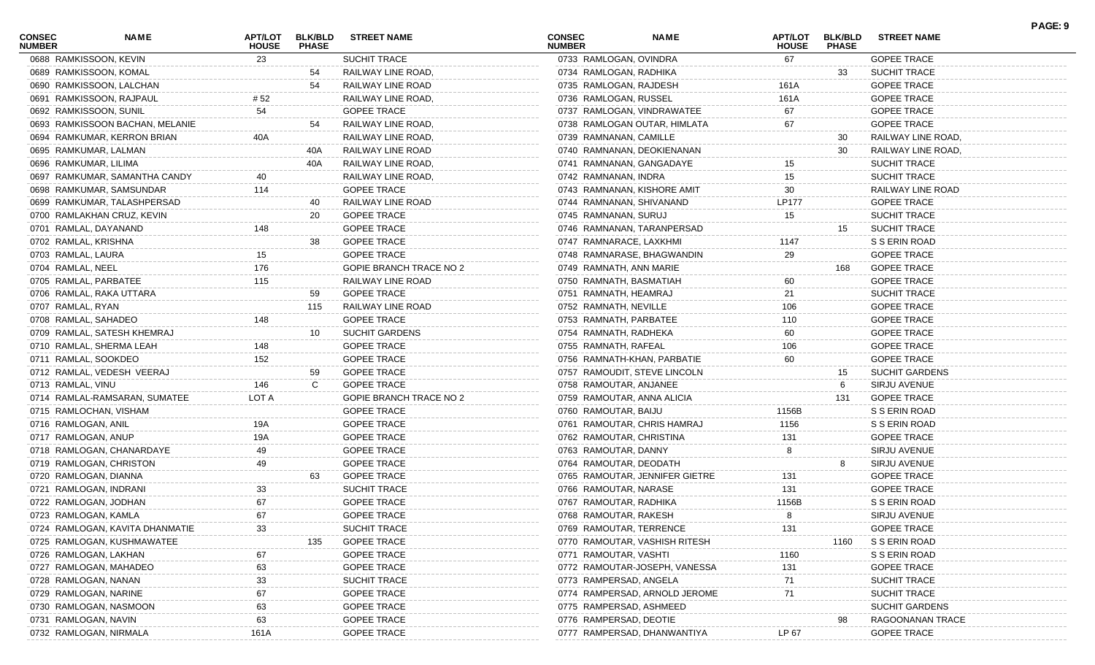| CONSEC<br><b>NUMBER</b> | <b>NAME</b>                     | <b>APT/LOT</b><br><b>HOUSE</b> | <b>BLK/BLD</b><br><b>PHASE</b> | <b>STREET NAME</b>      | <b>CONSEC</b><br><b>NUMBER</b> | <b>NAME</b>                    | <b>APT/LOT</b><br><b>HOUSE</b> | <b>BLK/BLD</b><br><b>PHASE</b> | <b>STREET NAME</b>    | PAGE: 9 |
|-------------------------|---------------------------------|--------------------------------|--------------------------------|-------------------------|--------------------------------|--------------------------------|--------------------------------|--------------------------------|-----------------------|---------|
|                         | 0688 RAMKISSOON, KEVIN          | 23                             |                                | SUCHIT TRACE            | 0733 RAMLOGAN, OVINDRA         |                                | 67                             |                                | <b>GOPEE TRACE</b>    |         |
|                         | 0689 RAMKISSOON, KOMAL          |                                | 54                             | RAILWAY LINE ROAD,      | 0734 RAMLOGAN, RADHIKA         |                                |                                | 33                             | <b>SUCHIT TRACE</b>   |         |
|                         | 0690 RAMKISSOON, LALCHAN        |                                | 54                             | RAILWAY LINE ROAD       | 0735 RAMLOGAN, RAJDESH         |                                | 161A                           |                                | <b>GOPEE TRACE</b>    |         |
|                         | 0691 RAMKISSOON, RAJPAUL        | # 52                           |                                | RAILWAY LINE ROAD,      | 0736 RAMLOGAN, RUSSEL          |                                | 161A                           |                                | <b>GOPEE TRACE</b>    |         |
|                         | 0692 RAMKISSOON, SUNIL          | 54                             |                                | <b>GOPEE TRACE</b>      |                                | 0737 RAMLOGAN, VINDRAWATEE     | 67                             |                                | <b>GOPEE TRACE</b>    |         |
|                         | 0693 RAMKISSOON BACHAN, MELANIE |                                | 54                             | RAILWAY LINE ROAD,      |                                | 0738 RAMLOGAN OUTAR, HIMLATA   | 67                             |                                | <b>GOPEE TRACE</b>    |         |
|                         | 0694 RAMKUMAR, KERRON BRIAN     | 40A                            |                                | RAILWAY LINE ROAD,      | 0739 RAMNANAN, CAMILLE         |                                |                                | 30                             | RAILWAY LINE ROAD,    |         |
|                         | 0695 RAMKUMAR, LALMAN           |                                | 40A                            | RAILWAY LINE ROAD       |                                | 0740 RAMNANAN, DEOKIENANAN     |                                | 30                             | RAILWAY LINE ROAD,    |         |
| 0696 RAMKUMAR, LILIMA   |                                 |                                | 40A                            | RAILWAY LINE ROAD,      |                                | 0741 RAMNANAN, GANGADAYE       | 15                             |                                | <b>SUCHIT TRACE</b>   |         |
|                         | 0697 RAMKUMAR, SAMANTHA CANDY   |                                |                                | RAILWAY LINE ROAD,      | 0742 RAMNANAN, INDRA           |                                | 15                             |                                | <b>SUCHIT TRACE</b>   |         |
|                         | 0698 RAMKUMAR, SAMSUNDAR        | 114                            |                                | <b>GOPEE TRACE</b>      |                                | 0743 RAMNANAN, KISHORE AMIT    | 30                             |                                | RAILWAY LINE ROAD     |         |
|                         | 0699 RAMKUMAR, TALASHPERSAD     |                                | 40                             | RAILWAY LINE ROAD       |                                | 0744 RAMNANAN, SHIVANAND       | <b>LP177</b>                   |                                | <b>GOPEE TRACE</b>    |         |
|                         | 0700 RAMLAKHAN CRUZ, KEVIN      |                                | 20                             | <b>GOPEE TRACE</b>      | 0745 RAMNANAN, SURUJ           |                                | 15                             |                                | <b>SUCHIT TRACE</b>   |         |
|                         | 0701 RAMLAL, DAYANAND           | 148                            |                                | <b>GOPEE TRACE</b>      |                                | 0746 RAMNANAN, TARANPERSAD     |                                | 15                             | <b>SUCHIT TRACE</b>   |         |
| 0702 RAMLAL, KRISHNA    |                                 |                                | 38                             | <b>GOPEE TRACE</b>      | 0747 RAMNARACE, LAXKHMI        |                                | 1147                           |                                | S S ERIN ROAD         |         |
| 0703 RAMLAL, LAURA      |                                 | 15                             |                                | <b>GOPEE TRACE</b>      |                                | 0748 RAMNARASE, BHAGWANDIN     | 29                             |                                | <b>GOPEE TRACE</b>    |         |
| 0704 RAMLAL, NEEL       |                                 | 176                            |                                | GOPIE BRANCH TRACE NO 2 | 0749 RAMNATH, ANN MARIE        |                                |                                | 168                            | <b>GOPEE TRACE</b>    |         |
|                         | 0705 RAMLAL, PARBATEE           | 115                            |                                | RAILWAY LINE ROAD       | 0750 RAMNATH, BASMATIAH        |                                | 60                             |                                | <b>GOPEE TRACE</b>    |         |
|                         | 0706 RAMLAL, RAKA UTTARA        |                                | 59                             | <b>GOPEE TRACE</b>      | 0751 RAMNATH, HEAMRAJ          |                                | 21                             |                                | <b>SUCHIT TRACE</b>   |         |
| 0707 RAMLAL, RYAN       |                                 |                                | 115                            | RAILWAY LINE ROAD       | 0752 RAMNATH, NEVILLE          |                                | 106                            |                                | <b>GOPEE TRACE</b>    |         |
| 0708 RAMLAL, SAHADEO    |                                 | 148                            |                                | <b>GOPEE TRACE</b>      | 0753 RAMNATH, PARBATEE         |                                | 110                            |                                | <b>GOPEE TRACE</b>    |         |
|                         |                                 |                                |                                |                         |                                |                                |                                |                                |                       |         |
|                         | 0709 RAMLAL, SATESH KHEMRAJ     |                                | 10                             | <b>SUCHIT GARDENS</b>   | 0754 RAMNATH, RADHEKA          |                                | 60                             |                                | <b>GOPEE TRACE</b>    |         |
|                         | 0710 RAMLAL, SHERMA LEAH        | 148<br>152                     |                                | <b>GOPEE TRACE</b>      | 0755 RAMNATH, RAFEAL           |                                | 106                            |                                | <b>GOPEE TRACE</b>    |         |
| 0711 RAMLAL, SOOKDEO    |                                 |                                |                                | <b>GOPEE TRACE</b>      |                                | 0756 RAMNATH-KHAN, PARBATIE    | 60                             |                                | <b>GOPEE TRACE</b>    |         |
|                         | 0712 RAMLAL, VEDESH VEERAJ      |                                | 59                             | <b>GOPEE TRACE</b>      |                                | 0757 RAMOUDIT, STEVE LINCOLN   |                                | 15                             | <b>SUCHIT GARDENS</b> |         |
| 0713 RAMLAL, VINU       |                                 | 146                            | C                              | <b>GOPEE TRACE</b>      | 0758 RAMOUTAR, ANJANEE         |                                |                                | 6                              | SIRJU AVENUE          |         |
|                         | 0714 RAMLAL-RAMSARAN, SUMATEE   | LOT A                          |                                | GOPIE BRANCH TRACE NO 2 |                                | 0759 RAMOUTAR, ANNA ALICIA     |                                | 131                            | <b>GOPEE TRACE</b>    |         |
|                         | 0715 RAMLOCHAN, VISHAM          |                                |                                | <b>GOPEE TRACE</b>      | 0760 RAMOUTAR, BAIJU           |                                | 1156B                          |                                | S S ERIN ROAD         |         |
| 0716 RAMLOGAN, ANIL     |                                 | 19A                            |                                | <b>GOPEE TRACE</b>      |                                | 0761 RAMOUTAR, CHRIS HAMRAJ    | 1156                           |                                | S S ERIN ROAD         |         |
| 0717 RAMLOGAN, ANUP     |                                 | 19A                            |                                | <b>GOPEE TRACE</b>      |                                | 0762 RAMOUTAR, CHRISTINA       | 131                            |                                | <b>GOPEE TRACE</b>    |         |
|                         | 0718 RAMLOGAN, CHANARDAYE       | 49                             |                                | <b>GOPEE TRACE</b>      | 0763 RAMOUTAR, DANNY           |                                | 8                              |                                | SIRJU AVENUE          |         |
|                         | 0719 RAMLOGAN, CHRISTON         | 49                             |                                | <b>GOPEE TRACE</b>      | 0764 RAMOUTAR, DEODATH         |                                |                                |                                | SIRJU AVENUE          |         |
|                         | 0720 RAMLOGAN, DIANNA           |                                | 63                             | <b>GOPEE TRACE</b>      |                                | 0765 RAMOUTAR, JENNIFER GIETRE | 131                            |                                | <b>GOPEE TRACE</b>    |         |
|                         | 0721 RAMLOGAN, INDRANI          | 33                             |                                | <b>SUCHIT TRACE</b>     | 0766 RAMOUTAR, NARASE          |                                | 131                            |                                | <b>GOPEE TRACE</b>    |         |
|                         | 0722 RAMLOGAN, JODHAN           | 67                             |                                | <b>GOPEE TRACE</b>      | 0767 RAMOUTAR, RADHIKA         |                                | 1156B                          |                                | S S ERIN ROAD         |         |
| 0723 RAMLOGAN, KAMLA    |                                 | 67                             |                                | <b>GOPEE TRACE</b>      | 0768 RAMOUTAR, RAKESH          |                                | 8                              |                                | SIRJU AVENUE          |         |
|                         | 0724 RAMLOGAN, KAVITA DHANMATIE | 33                             |                                | <b>SUCHIT TRACE</b>     |                                | 0769 RAMOUTAR, TERRENCE        | 131                            |                                | <b>GOPEE TRACE</b>    |         |
|                         | 0725 RAMLOGAN, KUSHMAWATEE      |                                | 135                            | <b>GOPEE TRACE</b>      |                                | 0770 RAMOUTAR, VASHISH RITESH  |                                | 1160                           | S S ERIN ROAD         |         |
|                         | 0726 RAMLOGAN, LAKHAN           | 67                             |                                | <b>GOPEE TRACE</b>      | 0771 RAMOUTAR, VASHTI          |                                | 1160                           |                                | S S ERIN ROAD         |         |
|                         | 0727 RAMLOGAN, MAHADEO          | 63                             |                                | <b>GOPEE TRACE</b>      |                                | 0772 RAMOUTAR-JOSEPH, VANESSA  | 131                            |                                | <b>GOPEE TRACE</b>    |         |
| 0728 RAMLOGAN, NANAN    |                                 | 33                             |                                | <b>SUCHIT TRACE</b>     | 0773 RAMPERSAD, ANGELA         |                                | 71                             |                                | <b>SUCHIT TRACE</b>   |         |
|                         | 0729 RAMLOGAN, NARINE           | 67                             |                                | <b>GOPEE TRACE</b>      |                                | 0774 RAMPERSAD, ARNOLD JEROME  | 71                             |                                | <b>SUCHIT TRACE</b>   |         |
|                         | 0730 RAMLOGAN, NASMOON          | 63                             |                                | <b>GOPEE TRACE</b>      |                                | 0775 RAMPERSAD, ASHMEED        |                                |                                | <b>SUCHIT GARDENS</b> |         |
| 0731 RAMLOGAN, NAVIN    |                                 | 63                             |                                | <b>GOPEE TRACE</b>      | 0776 RAMPERSAD, DEOTIE         |                                |                                |                                | RAGOONANAN TRACE      |         |
|                         | 0732 RAMLOGAN, NIRMALA          | 161A                           |                                | <b>GOPEE TRACE</b>      |                                | 0777 RAMPERSAD, DHANWANTIYA    | LP 67                          |                                | <b>GOPEE TRACE</b>    |         |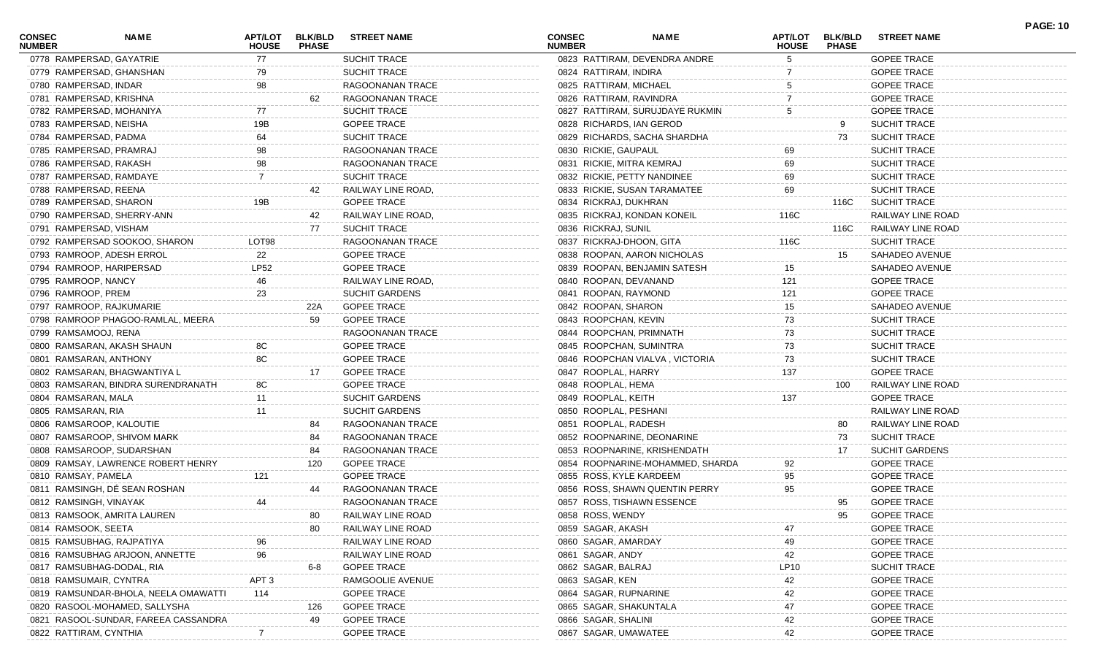| <b>CONSEC</b><br><b>NUMBER</b> | <b>NAME</b>                          | APT/LOT<br><b>HOUSE</b> | <b>BLK/BLD</b><br><b>PHASE</b> | <b>STREET NAME</b>    | <b>CONSEC</b><br><b>NUMBER</b> | <b>NAME</b>                      | APT/LOT<br><b>HOUSE</b> | <b>BLK/BLD</b><br><b>PHASE</b> | <b>STREET NAME</b>    | <b>PAGE: 10</b> |
|--------------------------------|--------------------------------------|-------------------------|--------------------------------|-----------------------|--------------------------------|----------------------------------|-------------------------|--------------------------------|-----------------------|-----------------|
| 0778 RAMPERSAD, GAYATRIE       |                                      | 77                      |                                | <b>SUCHIT TRACE</b>   |                                | 0823 RATTIRAM, DEVENDRA ANDRE    |                         |                                | <b>GOPEE TRACE</b>    |                 |
| 0779 RAMPERSAD, GHANSHAN       |                                      | 79                      |                                | SUCHIT TRACE          | 0824 RATTIRAM, INDIRA          |                                  |                         |                                | <b>GOPEE TRACE</b>    |                 |
| 0780 RAMPERSAD, INDAR          |                                      | 98                      |                                | RAGOONANAN TRACE      | 0825 RATTIRAM, MICHAEL         |                                  |                         |                                | <b>GOPEE TRACE</b>    |                 |
| 0781 RAMPERSAD, KRISHNA        |                                      |                         | 62                             | RAGOONANAN TRACE      | 0826 RATTIRAM, RAVINDRA        |                                  |                         |                                | <b>GOPEE TRACE</b>    |                 |
| 0782 RAMPERSAD, MOHANIYA       |                                      |                         |                                | <b>SUCHIT TRACE</b>   |                                | 0827 RATTIRAM, SURUJDAYE RUKMIN  |                         |                                | <b>GOPEE TRACE</b>    |                 |
| 0783 RAMPERSAD, NEISHA         |                                      | 19B                     |                                | <b>GOPEE TRACE</b>    | 0828 RICHARDS, IAN GEROD       |                                  |                         | 9                              | <b>SUCHIT TRACE</b>   |                 |
| 0784 RAMPERSAD, PADMA          |                                      | 64                      |                                | SUCHIT TRACE          |                                | 0829 RICHARDS, SACHA SHARDHA     |                         | 73                             | <b>SUCHIT TRACE</b>   |                 |
| 0785 RAMPERSAD, PRAMRAJ        |                                      | 98                      |                                | RAGOONANAN TRACE      | 0830 RICKIE, GAUPAUL           |                                  | 69                      |                                | <b>SUCHIT TRACE</b>   |                 |
| 0786 RAMPERSAD, RAKASH         |                                      |                         |                                | RAGOONANAN TRACE      | 0831 RICKIE, MITRA KEMRAJ      |                                  | 69                      |                                | <b>SUCHIT TRACE</b>   |                 |
| 0787 RAMPERSAD, RAMDAYE        |                                      |                         |                                | SUCHIT TRACE          | 0832 RICKIE, PETTY NANDINEE    |                                  | 69                      |                                | <b>SUCHIT TRACE</b>   |                 |
| 0788 RAMPERSAD, REENA          |                                      |                         | 42                             | RAILWAY LINE ROAD,    |                                | 0833 RICKIE, SUSAN TARAMATEE     | 69                      |                                | <b>SUCHIT TRACE</b>   |                 |
| 0789 RAMPERSAD, SHARON         |                                      | 19B                     |                                | <b>GOPEE TRACE</b>    | 0834 RICKRAJ, DUKHRAN          |                                  |                         | 116C                           | <b>SUCHIT TRACE</b>   |                 |
| 0790 RAMPERSAD, SHERRY-ANN     |                                      |                         | 42                             | RAILWAY LINE ROAD,    | 0835 RICKRAJ, KONDAN KONEIL    |                                  | 116C                    |                                | RAILWAY LINE ROAD     |                 |
| 0791 RAMPERSAD, VISHAM         |                                      |                         | 77                             | <b>SUCHIT TRACE</b>   | 0836 RICKRAJ, SUNIL            |                                  |                         | 116C                           | RAILWAY LINE ROAD     |                 |
|                                | 0792 RAMPERSAD SOOKOO, SHARON        | LOT98                   |                                | RAGOONANAN TRACE      | 0837 RICKRAJ-DHOON, GITA       |                                  | 116C                    |                                | <b>SUCHIT TRACE</b>   |                 |
| 0793 RAMROOP, ADESH ERROL      |                                      | 22                      |                                | <b>GOPEE TRACE</b>    |                                | 0838 ROOPAN, AARON NICHOLAS      |                         | 15                             | SAHADEO AVENUE        |                 |
| 0794 RAMROOP, HARIPERSAD       |                                      | LP52                    |                                | <b>GOPEE TRACE</b>    |                                | 0839 ROOPAN, BENJAMIN SATESH     | 15                      |                                | SAHADEO AVENUE        |                 |
| 0795 RAMROOP, NANCY            |                                      | 46                      |                                | RAILWAY LINE ROAD,    | 0840 ROOPAN, DEVANAND          |                                  | 121                     |                                | <b>GOPEE TRACE</b>    |                 |
| 0796 RAMROOP, PREM             |                                      | 23                      |                                | <b>SUCHIT GARDENS</b> | 0841 ROOPAN, RAYMOND           |                                  | 121                     |                                | <b>GOPEE TRACE</b>    |                 |
| 0797 RAMROOP, RAJKUMARIE       |                                      |                         | 22A                            | <b>GOPEE TRACE</b>    | 0842 ROOPAN, SHARON            |                                  | 15                      |                                | SAHADEO AVENUE        |                 |
|                                | 0798 RAMROOP PHAGOO-RAMLAL, MEERA    |                         | 59                             | <b>GOPEE TRACE</b>    | 0843 ROOPCHAN, KEVIN           |                                  | 73                      |                                | <b>SUCHIT TRACE</b>   |                 |
| 0799 RAMSAMOOJ, RENA           |                                      |                         |                                | RAGOONANAN TRACE      | 0844 ROOPCHAN, PRIMNATH        |                                  | 73                      |                                | <b>SUCHIT TRACE</b>   |                 |
| 0800 RAMSARAN, AKASH SHAUN     |                                      | 8C                      |                                | <b>GOPEE TRACE</b>    | 0845 ROOPCHAN, SUMINTRA        |                                  | 73                      |                                | <b>SUCHIT TRACE</b>   |                 |
| 0801 RAMSARAN, ANTHONY         |                                      | 8C                      |                                | <b>GOPEE TRACE</b>    |                                | 0846 ROOPCHAN VIALVA, VICTORIA   | 73                      |                                | <b>SUCHIT TRACE</b>   |                 |
| 0802 RAMSARAN, BHAGWANTIYA L   |                                      |                         | 17                             | <b>GOPEE TRACE</b>    | 0847 ROOPLAL, HARRY            |                                  |                         |                                | <b>GOPEE TRACE</b>    |                 |
|                                | 0803 RAMSARAN, BINDRA SURENDRANATH   |                         |                                | <b>GOPEE TRACE</b>    | 0848 ROOPLAL, HEMA             |                                  | 137                     | 100                            | RAILWAY LINE ROAD     |                 |
| 0804 RAMSARAN, MALA            |                                      | 8C                      |                                | <b>SUCHIT GARDENS</b> | 0849 ROOPLAL, KEITH            |                                  | 137                     |                                | <b>GOPEE TRACE</b>    |                 |
|                                |                                      | 11                      |                                |                       |                                |                                  |                         |                                |                       |                 |
| 0805 RAMSARAN, RIA             |                                      | 11                      |                                | <b>SUCHIT GARDENS</b> | 0850 ROOPLAL, PESHANI          |                                  |                         |                                | RAILWAY LINE ROAD     |                 |
| 0806 RAMSAROOP, KALOUTIE       |                                      |                         | 84                             | RAGOONANAN TRACE      | 0851 ROOPLAL, RADESH           |                                  |                         | 80                             | RAILWAY LINE ROAD     |                 |
| 0807 RAMSAROOP, SHIVOM MARK    |                                      |                         | 84                             | RAGOONANAN TRACE      | 0852 ROOPNARINE, DEONARINE     |                                  |                         | 73                             | <b>SUCHIT TRACE</b>   |                 |
| 0808 RAMSAROOP, SUDARSHAN      |                                      |                         | 84                             | RAGOONANAN TRACE      |                                | 0853 ROOPNARINE, KRISHENDATH     |                         | 17                             | <b>SUCHIT GARDENS</b> |                 |
|                                | 0809 RAMSAY, LAWRENCE ROBERT HENRY   |                         | 120                            | <b>GOPEE TRACE</b>    |                                | 0854 ROOPNARINE-MOHAMMED, SHARDA | 92                      |                                | <b>GOPEE TRACE</b>    |                 |
| 0810 RAMSAY, PAMELA            |                                      | 121                     |                                | <b>GOPEE TRACE</b>    | 0855 ROSS, KYLE KARDEEM        |                                  | 95                      |                                | <b>GOPEE TRACE</b>    |                 |
| 0811 RAMSINGH, DÉ SEAN ROSHAN  |                                      |                         |                                | RAGOONANAN TRACE      |                                | 0856 ROSS, SHAWN QUENTIN PERRY   | 95                      |                                | <b>GOPEE TRACE</b>    |                 |
| 0812 RAMSINGH, VINAYAK         |                                      | 44                      |                                | RAGOONANAN TRACE      | 0857 ROSS, TISHAWN ESSENCE     |                                  |                         | 95                             | <b>GOPEE TRACE</b>    |                 |
| 0813 RAMSOOK, AMRITA LAUREN    |                                      |                         | 80                             | RAILWAY LINE ROAD     | 0858 ROSS, WENDY               |                                  |                         | 95                             | <b>GOPEE TRACE</b>    |                 |
| 0814 RAMSOOK, SEETA            |                                      |                         |                                | RAILWAY LINE ROAD     | 0859 SAGAR, AKASH              |                                  | 47                      |                                | <b>GOPEE TRACE</b>    |                 |
| 0815 RAMSUBHAG, RAJPATIYA      |                                      |                         |                                | RAILWAY LINE ROAD     | 0860 SAGAR, AMARDAY            |                                  | 49                      |                                | <b>GOPEE TRACE</b>    |                 |
|                                | 0816 RAMSUBHAG ARJOON, ANNETTE       | 96                      |                                | RAILWAY LINE ROAD     | 0861 SAGAR, ANDY               |                                  | 42                      |                                | <b>GOPEE TRACE</b>    |                 |
| 0817 RAMSUBHAG-DODAL, RIA      |                                      |                         | 6-8                            | <b>GOPEE TRACE</b>    | 0862 SAGAR, BALRAJ             |                                  | LP10                    |                                | <b>SUCHIT TRACE</b>   |                 |
| 0818 RAMSUMAIR, CYNTRA         |                                      | APT 3                   |                                | RAMGOOLIE AVENUE      | 0863 SAGAR, KEN                |                                  | 42                      |                                | <b>GOPEE TRACE</b>    |                 |
|                                | 0819 RAMSUNDAR-BHOLA, NEELA OMAWATTI | 114                     |                                | <b>GOPEE TRACE</b>    | 0864 SAGAR, RUPNARINE          |                                  | 42                      |                                | <b>GOPEE TRACE</b>    |                 |
|                                | 0820 RASOOL-MOHAMED, SALLYSHA        |                         | 126                            | <b>GOPEE TRACE</b>    | 0865 SAGAR, SHAKUNTALA         |                                  | 47                      |                                | <b>GOPEE TRACE</b>    |                 |
|                                | 0821 RASOOL-SUNDAR, FAREEA CASSANDRA |                         | 49                             | <b>GOPEE TRACE</b>    | 0866 SAGAR, SHALINI            |                                  | 42                      |                                | <b>GOPEE TRACE</b>    |                 |
| 0822 RATTIRAM, CYNTHIA         |                                      |                         |                                | <b>GOPEE TRACE</b>    | 0867 SAGAR, UMAWATEE           |                                  |                         |                                | <b>GOPEE TRACE</b>    |                 |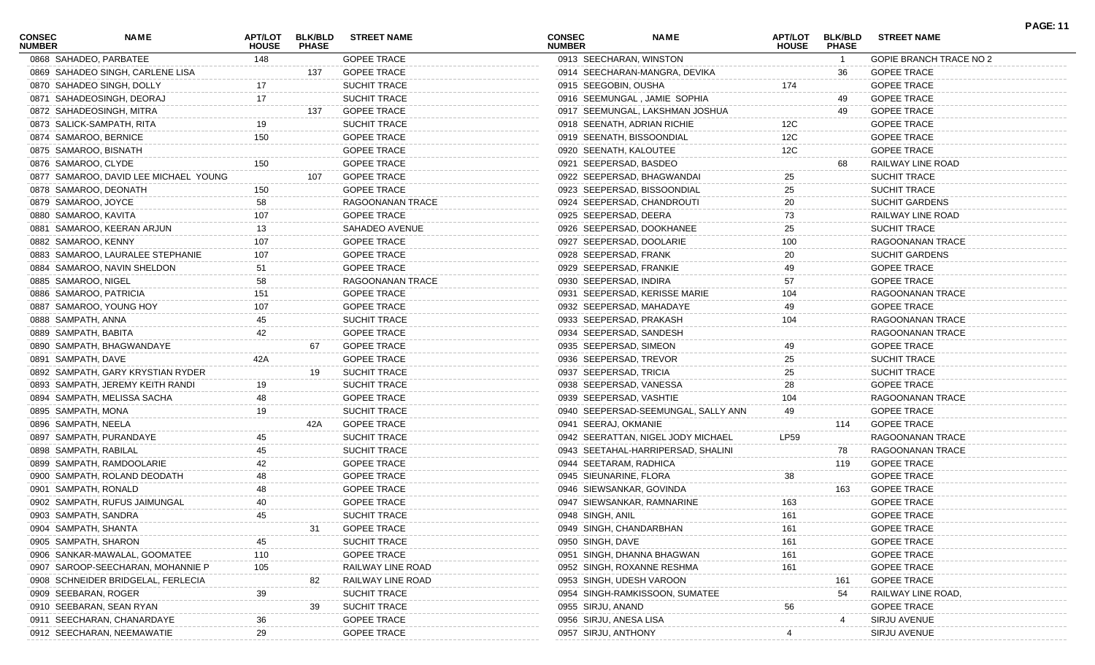| <b>CONSEC</b><br><b>NUMBER</b> | <b>NAME</b>                           | <b>APT/LOT</b><br><b>HOUSE</b> | <b>BLK/BLD</b><br><b>PHASE</b> | <b>STREET NAME</b>  | <b>CONSEC</b><br><b>NUMBER</b> |                         | <b>NAME</b>                         | <b>APT/LOT</b><br><b>HOUSE</b> | <b>BLK/BLD</b><br><b>PHASE</b> | <b>STREET NAME</b>      | <b>PAGE: 11</b> |
|--------------------------------|---------------------------------------|--------------------------------|--------------------------------|---------------------|--------------------------------|-------------------------|-------------------------------------|--------------------------------|--------------------------------|-------------------------|-----------------|
|                                | 0868 SAHADEO, PARBATEE                | 148                            |                                | <b>GOPEE TRACE</b>  |                                | 0913 SEECHARAN, WINSTON |                                     |                                | $\overline{1}$                 | GOPIE BRANCH TRACE NO 2 |                 |
|                                | 0869 SAHADEO SINGH, CARLENE LISA      |                                | 137                            | <b>GOPEE TRACE</b>  |                                |                         | 0914 SEECHARAN-MANGRA, DEVIKA       |                                | 36                             | <b>GOPEE TRACE</b>      |                 |
|                                | 0870 SAHADEO SINGH, DOLLY             | 17                             |                                | <b>SUCHIT TRACE</b> |                                | 0915 SEEGOBIN, OUSHA    |                                     | 174                            |                                | <b>GOPEE TRACE</b>      |                 |
|                                | 0871 SAHADEOSINGH, DEORAJ             | 17                             |                                | SUCHIT TRACE        |                                |                         | 0916 SEEMUNGAL, JAMIE SOPHIA        |                                | 49                             | <b>GOPEE TRACE</b>      |                 |
|                                | 0872 SAHADEOSINGH, MITRA              |                                | 137                            | <b>GOPEE TRACE</b>  |                                |                         | 0917 SEEMUNGAL, LAKSHMAN JOSHUA     |                                | 49                             | <b>GOPEE TRACE</b>      |                 |
|                                | 0873 SALICK-SAMPATH, RITA             | 19                             |                                | <b>SUCHIT TRACE</b> |                                |                         | 0918 SEENATH, ADRIAN RICHIE         | 12C                            |                                | <b>GOPEE TRACE</b>      |                 |
|                                | 0874 SAMAROO, BERNICE                 | 150                            |                                | <b>GOPEE TRACE</b>  |                                |                         | 0919 SEENATH, BISSOONDIAL           | 12C                            |                                | <b>GOPEE TRACE</b>      |                 |
|                                | 0875 SAMAROO, BISNATH                 |                                |                                | <b>GOPEE TRACE</b>  |                                | 0920 SEENATH, KALOUTEE  |                                     | 12C                            |                                | <b>GOPEE TRACE</b>      |                 |
| 0876 SAMAROO, CLYDE            |                                       | 150                            |                                | <b>GOPEE TRACE</b>  |                                | 0921 SEEPERSAD, BASDEO  |                                     |                                | 68                             | RAILWAY LINE ROAD       |                 |
|                                | 0877 SAMAROO, DAVID LEE MICHAEL YOUNG |                                | 107                            | <b>GOPEE TRACE</b>  |                                |                         | 0922 SEEPERSAD, BHAGWANDAI          | 25                             |                                | <b>SUCHIT TRACE</b>     |                 |
|                                | 0878 SAMAROO, DEONATH                 | 150                            |                                | <b>GOPEE TRACE</b>  |                                |                         | 0923 SEEPERSAD, BISSOONDIAL         | 25                             |                                | SUCHIT TRACE            |                 |
| 0879 SAMAROO, JOYCE            |                                       | 58                             |                                | RAGOONANAN TRACE    |                                |                         | 0924 SEEPERSAD, CHANDROUTI          | 20                             |                                | <b>SUCHIT GARDENS</b>   |                 |
| 0880 SAMAROO, KAVITA           |                                       | 107                            |                                | <b>GOPEE TRACE</b>  |                                | 0925 SEEPERSAD, DEERA   |                                     | 73                             |                                | RAILWAY LINE ROAD       |                 |
|                                | 0881 SAMAROO, KEERAN ARJUN            | 13                             |                                | SAHADEO AVENUE      |                                |                         | 0926 SEEPERSAD, DOOKHANEE           | 25                             |                                | SUCHIT TRACE            |                 |
| 0882 SAMAROO, KENNY            |                                       | 107                            |                                | <b>GOPEE TRACE</b>  |                                |                         | 0927 SEEPERSAD, DOOLARIE            | 100                            |                                | RAGOONANAN TRACE        |                 |
|                                | 0883 SAMAROO, LAURALEE STEPHANIE      | 107                            |                                | <b>GOPEE TRACE</b>  |                                | 0928 SEEPERSAD, FRANK   |                                     | 20                             |                                | <b>SUCHIT GARDENS</b>   |                 |
|                                | 0884 SAMAROO, NAVIN SHELDON           | 51                             |                                | <b>GOPEE TRACE</b>  |                                | 0929 SEEPERSAD, FRANKIE |                                     | 49                             |                                | <b>GOPEE TRACE</b>      |                 |
| 0885 SAMAROO, NIGEL            |                                       | 58                             |                                | RAGOONANAN TRACE    |                                | 0930 SEEPERSAD, INDIRA  |                                     | 57                             |                                | <b>GOPEE TRACE</b>      |                 |
|                                | 0886 SAMAROO, PATRICIA                | 151                            |                                | <b>GOPEE TRACE</b>  |                                |                         | 0931 SEEPERSAD, KERISSE MARIE       | 104                            |                                | RAGOONANAN TRACE        |                 |
|                                | 0887 SAMAROO, YOUNG HOY               | 107                            |                                | <b>GOPEE TRACE</b>  |                                |                         | 0932 SEEPERSAD, MAHADAYE            | 49                             |                                | <b>GOPEE TRACE</b>      |                 |
| 0888 SAMPATH, ANNA             |                                       | 45                             |                                | <b>SUCHIT TRACE</b> |                                | 0933 SEEPERSAD, PRAKASH |                                     | 104                            |                                | RAGOONANAN TRACE        |                 |
| 0889 SAMPATH, BABITA           |                                       | 42                             |                                | <b>GOPEE TRACE</b>  |                                | 0934 SEEPERSAD, SANDESH |                                     |                                |                                | RAGOONANAN TRACE        |                 |
|                                | 0890 SAMPATH, BHAGWANDAYE             |                                | 67                             | <b>GOPEE TRACE</b>  |                                | 0935 SEEPERSAD, SIMEON  |                                     | 49                             |                                | <b>GOPEE TRACE</b>      |                 |
| 0891 SAMPATH, DAVE             |                                       |                                |                                | <b>GOPEE TRACE</b>  |                                | 0936 SEEPERSAD, TREVOR  |                                     |                                |                                | <b>SUCHIT TRACE</b>     |                 |
|                                |                                       | 42A                            |                                |                     |                                |                         |                                     | 25                             |                                |                         |                 |
|                                | 0892 SAMPATH, GARY KRYSTIAN RYDER     |                                | 19                             | <b>SUCHIT TRACE</b> |                                | 0937 SEEPERSAD, TRICIA  |                                     | 25                             |                                | SUCHIT TRACE            |                 |
|                                | 0893 SAMPATH, JEREMY KEITH RANDI      | 19                             |                                | <b>SUCHIT TRACE</b> |                                | 0938 SEEPERSAD, VANESSA |                                     | 28                             |                                | <b>GOPEE TRACE</b>      |                 |
|                                | 0894 SAMPATH, MELISSA SACHA           | 48                             |                                | <b>GOPEE TRACE</b>  |                                | 0939 SEEPERSAD, VASHTIE |                                     | 104                            |                                | RAGOONANAN TRACE        |                 |
| 0895 SAMPATH, MONA             |                                       | 19                             |                                | <b>SUCHIT TRACE</b> |                                |                         | 0940 SEEPERSAD-SEEMUNGAL, SALLY ANN | 49                             |                                | <b>GOPEE TRACE</b>      |                 |
| 0896 SAMPATH, NEELA            |                                       |                                | 42A                            | <b>GOPEE TRACE</b>  |                                | 0941 SEERAJ, OKMANIE    |                                     |                                | 114                            | <b>GOPEE TRACE</b>      |                 |
|                                | 0897 SAMPATH, PURANDAYE               |                                |                                | <b>SUCHIT TRACE</b> |                                |                         | 0942 SEERATTAN, NIGEL JODY MICHAEL  | <b>LP59</b>                    |                                | RAGOONANAN TRACE        |                 |
| 0898 SAMPATH, RABILAL          |                                       |                                |                                | SUCHIT TRACE        |                                |                         | 0943 SEETAHAL-HARRIPERSAD, SHALINI  |                                | 78                             | RAGOONANAN TRACE        |                 |
|                                | 0899 SAMPATH, RAMDOOLARIE             |                                |                                | <b>GOPEE TRACE</b>  |                                | 0944 SEETARAM, RADHICA  |                                     |                                | 119                            | <b>GOPEE TRACE</b>      |                 |
|                                | 0900 SAMPATH, ROLAND DEODATH          | 48                             |                                | <b>GOPEE TRACE</b>  |                                | 0945 SIEUNARINE, FLORA  |                                     | 38                             |                                | <b>GOPEE TRACE</b>      |                 |
| 0901 SAMPATH, RONALD           |                                       | 48                             |                                | <b>GOPEE TRACE</b>  |                                |                         | 0946 SIEWSANKAR, GOVINDA            |                                | 163                            | <b>GOPEE TRACE</b>      |                 |
|                                | 0902 SAMPATH, RUFUS JAIMUNGAL         | 40                             |                                | <b>GOPEE TRACE</b>  |                                |                         | 0947 SIEWSANKAR, RAMNARINE          | 163                            |                                | <b>GOPEE TRACE</b>      |                 |
| 0903 SAMPATH, SANDRA           |                                       | 45                             |                                | SUCHIT TRACE        |                                | 0948 SINGH, ANIL        |                                     | 161                            |                                | <b>GOPEE TRACE</b>      |                 |
| 0904 SAMPATH, SHANTA           |                                       |                                | 31                             | <b>GOPEE TRACE</b>  |                                | 0949 SINGH, CHANDARBHAN |                                     | 161                            |                                | <b>GOPEE TRACE</b>      |                 |
| 0905 SAMPATH, SHARON           |                                       |                                |                                | SUCHIT TRACE        |                                | 0950 SINGH, DAVE        |                                     | 161                            |                                | <b>GOPEE TRACE</b>      |                 |
|                                | 0906 SANKAR-MAWALAL, GOOMATEE         | 110                            |                                | <b>GOPEE TRACE</b>  |                                |                         | 0951 SINGH, DHANNA BHAGWAN          | 161                            |                                | <b>GOPEE TRACE</b>      |                 |
|                                | 0907 SAROOP-SEECHARAN, MOHANNIE P     | 105                            |                                | RAILWAY LINE ROAD   |                                |                         | 0952 SINGH, ROXANNE RESHMA          | 161                            |                                | <b>GOPEE TRACE</b>      |                 |
|                                | 0908 SCHNEIDER BRIDGELAL, FERLECIA    |                                | 82                             | RAILWAY LINE ROAD   |                                |                         | 0953 SINGH, UDESH VAROON            |                                | 161                            | <b>GOPEE TRACE</b>      |                 |
| 0909 SEEBARAN, ROGER           |                                       | 39                             |                                | SUCHIT TRACE        |                                |                         | 0954 SINGH-RAMKISSOON, SUMATEE      |                                | 54                             | RAILWAY LINE ROAD       |                 |
|                                | 0910 SEEBARAN, SEAN RYAN              |                                | 39                             | <b>SUCHIT TRACE</b> |                                | 0955 SIRJU, ANAND       |                                     | 56                             |                                | <b>GOPEE TRACE</b>      |                 |
|                                | 0911 SEECHARAN, CHANARDAYE            | 36                             |                                | <b>GOPEE TRACE</b>  |                                | 0956 SIRJU, ANESA LISA  |                                     |                                | 4                              | SIRJU AVENUE            |                 |
|                                | 0912 SEECHARAN, NEEMAWATIE            | 29                             |                                | <b>GOPEE TRACE</b>  |                                | 0957 SIRJU, ANTHONY     |                                     |                                |                                | SIRJU AVENUE            |                 |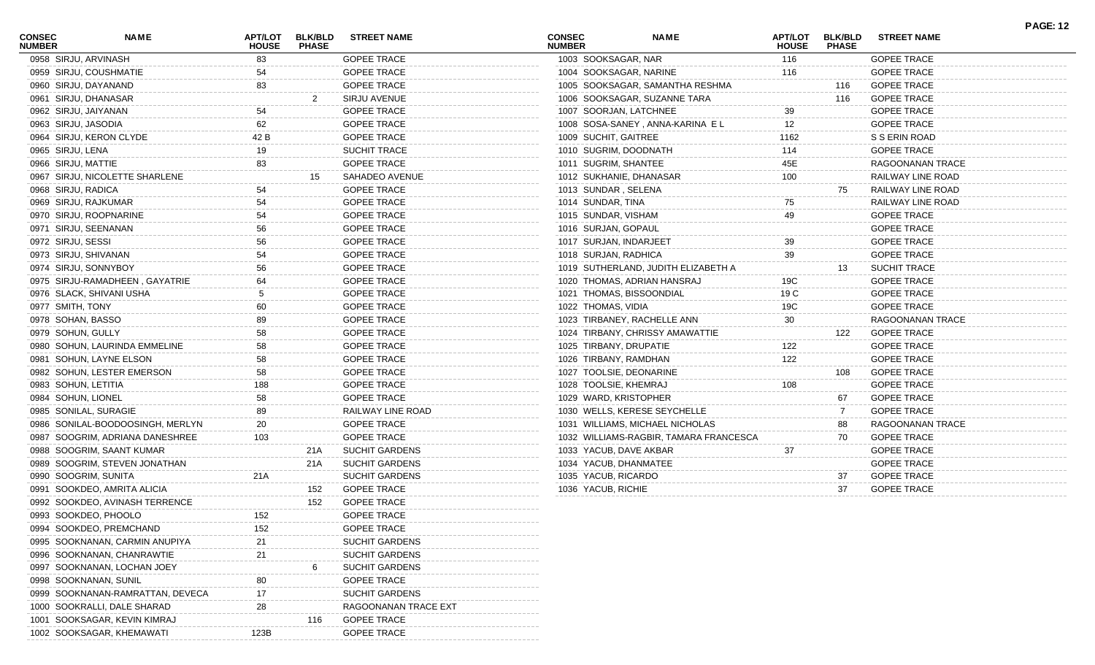| <b>CONSEC</b><br><b>NUMBER</b> | <b>NAME</b>                      | <b>APT/LOT</b><br><b>HOUSE</b> | <b>PHASE</b> | BLK/BLD STREET NAME   | <b>CONSEC</b><br><b>NUMBER</b> | NAME                                   | <b>APT/LOT</b><br><b>HOUSE</b> | <b>BLK/BLD</b><br><b>PHASE</b> | <b>STREET NAME</b>  |  |
|--------------------------------|----------------------------------|--------------------------------|--------------|-----------------------|--------------------------------|----------------------------------------|--------------------------------|--------------------------------|---------------------|--|
|                                | 0958 SIRJU, ARVINASH             | 83                             |              | <b>GOPEE TRACE</b>    | 1003 SOOKSAGAR, NAR            |                                        | 116                            |                                | <b>GOPEE TRACE</b>  |  |
|                                | 0959 SIRJU, COUSHMATIE           | 54                             |              | <b>GOPEE TRACE</b>    | 1004 SOOKSAGAR, NARINE         |                                        | 116                            |                                | <b>GOPEE TRACE</b>  |  |
|                                | 0960 SIRJU, DAYANAND             | 83                             |              | <b>GOPEE TRACE</b>    |                                | 1005 SOOKSAGAR, SAMANTHA RESHMA        |                                | 116                            | <b>GOPEE TRACE</b>  |  |
|                                | 0961 SIRJU, DHANASAR             |                                |              | SIRJU AVENUE          |                                | 1006 SOOKSAGAR, SUZANNE TARA           |                                | 116                            | <b>GOPEE TRACE</b>  |  |
|                                | 0962 SIRJU, JAIYANAN             | 54                             |              | <b>GOPEE TRACE</b>    | 1007 SOORJAN, LATCHNEE         |                                        | 39                             |                                | <b>GOPEE TRACE</b>  |  |
|                                | 0963 SIRJU, JASODIA              | 62                             |              | <b>GOPEE TRACE</b>    |                                | 1008 SOSA-SANEY, ANNA-KARINA EL        | $12 \overline{ }$              |                                | <b>GOPEE TRACE</b>  |  |
|                                | 0964 SIRJU, KERON CLYDE          | 42 B                           |              | <b>GOPEE TRACE</b>    | 1009 SUCHIT, GAITREE           |                                        | 1162                           |                                | S S ERIN ROAD       |  |
|                                | 0965 SIRJU, LENA                 | 19                             |              | SUCHIT TRACE          | 1010 SUGRIM, DOODNATH          |                                        | 114                            |                                | <b>GOPEE TRACE</b>  |  |
|                                | 0966 SIRJU, MATTIE               | 83                             |              | <b>GOPEE TRACE</b>    | 1011 SUGRIM, SHANTEE           |                                        | 45E                            |                                | RAGOONANAN TRACE    |  |
|                                | 0967 SIRJU, NICOLETTE SHARLENE   |                                | 15           | SAHADEO AVENUE        | 1012 SUKHANIE, DHANASAR        |                                        | 100                            |                                | RAILWAY LINE ROAD   |  |
|                                | 0968 SIRJU, RADICA               | 54                             |              | <b>GOPEE TRACE</b>    | 1013 SUNDAR, SELENA            |                                        |                                | 75                             | RAILWAY LINE ROAD   |  |
|                                | 0969 SIRJU, RAJKUMAR             | 54                             |              | <b>GOPEE TRACE</b>    | 1014 SUNDAR, TINA              |                                        | 75                             |                                | RAILWAY LINE ROAD   |  |
|                                | 0970 SIRJU, ROOPNARINE           | 54                             |              | <b>GOPEE TRACE</b>    | 1015 SUNDAR, VISHAM            |                                        | 49                             |                                | <b>GOPEE TRACE</b>  |  |
|                                | 0971 SIRJU, SEENANAN             | 56                             |              | <b>GOPEE TRACE</b>    | 1016 SURJAN, GOPAUL            |                                        |                                |                                | <b>GOPEE TRACE</b>  |  |
|                                | 0972 SIRJU, SESSI                | 56                             |              | <b>GOPEE TRACE</b>    | 1017 SURJAN, INDARJEET         |                                        | 39                             |                                | <b>GOPEE TRACE</b>  |  |
|                                | 0973 SIRJU, SHIVANAN             | 54                             |              | <b>GOPEE TRACE</b>    | 1018 SURJAN, RADHICA           |                                        | 39                             |                                | <b>GOPEE TRACE</b>  |  |
|                                | 0974 SIRJU, SONNYBOY             | 56                             |              | <b>GOPEE TRACE</b>    |                                | 1019 SUTHERLAND, JUDITH ELIZABETH A    |                                | 13                             | <b>SUCHIT TRACE</b> |  |
|                                | 0975 SIRJU-RAMADHEEN, GAYATRIE   | 64                             |              | <b>GOPEE TRACE</b>    |                                | 1020 THOMAS, ADRIAN HANSRAJ            | 19C                            |                                | <b>GOPEE TRACE</b>  |  |
|                                | 0976 SLACK, SHIVANI USHA         | 5                              |              | <b>GOPEE TRACE</b>    | 1021 THOMAS, BISSOONDIAL       |                                        | 19 C                           |                                | <b>GOPEE TRACE</b>  |  |
|                                | 0977 SMITH, TONY                 | 60                             |              | <b>GOPEE TRACE</b>    | 1022 THOMAS, VIDIA             |                                        | 19C                            |                                | <b>GOPEE TRACE</b>  |  |
|                                | 0978 SOHAN, BASSO                | 89                             |              | <b>GOPEE TRACE</b>    |                                | 1023 TIRBANEY, RACHELLE ANN            | 30                             |                                | RAGOONANAN TRACE    |  |
|                                | 0979 SOHUN, GULLY                | 58                             |              | <b>GOPEE TRACE</b>    |                                | 1024 TIRBANY, CHRISSY AMAWATTIE        |                                | 122                            | <b>GOPEE TRACE</b>  |  |
|                                | 0980 SOHUN, LAURINDA EMMELINE    | 58                             |              | <b>GOPEE TRACE</b>    | 1025 TIRBANY, DRUPATIE         |                                        | 122                            |                                | <b>GOPEE TRACE</b>  |  |
|                                | 0981 SOHUN, LAYNE ELSON          | 58                             |              | <b>GOPEE TRACE</b>    | 1026 TIRBANY, RAMDHAN          |                                        | 122                            |                                | <b>GOPEE TRACE</b>  |  |
|                                | 0982 SOHUN, LESTER EMERSON       | 58                             |              | <b>GOPEE TRACE</b>    | 1027 TOOLSIE, DEONARINE        |                                        |                                | 108                            | <b>GOPEE TRACE</b>  |  |
|                                | 0983 SOHUN, LETITIA              | 188                            |              | <b>GOPEE TRACE</b>    | 1028 TOOLSIE, KHEMRAJ          |                                        | 108                            |                                | <b>GOPEE TRACE</b>  |  |
|                                | 0984 SOHUN, LIONEL               | 58                             |              | <b>GOPEE TRACE</b>    | 1029 WARD, KRISTOPHER          |                                        |                                | 67                             | <b>GOPEE TRACE</b>  |  |
|                                | 0985 SONILAL, SURAGIE            | 89                             |              | RAILWAY LINE ROAD     |                                | 1030 WELLS, KERESE SEYCHELLE           |                                | $\overline{7}$                 | <b>GOPEE TRACE</b>  |  |
|                                | 0986 SONILAL-BOODOOSINGH, MERLYN | 20                             |              | <b>GOPEE TRACE</b>    |                                | 1031 WILLIAMS, MICHAEL NICHOLAS        |                                | 88                             | RAGOONANAN TRACE    |  |
|                                | 0987 SOOGRIM, ADRIANA DANESHREE  | 103                            |              | <b>GOPEE TRACE</b>    |                                | 1032 WILLIAMS-RAGBIR, TAMARA FRANCESCA |                                | 70                             | <b>GOPEE TRACE</b>  |  |
|                                | 0988 SOOGRIM, SAANT KUMAR        |                                | 21A          | SUCHIT GARDENS        | 1033 YACUB, DAVE AKBAR         |                                        | 37                             |                                | <b>GOPEE TRACE</b>  |  |
|                                | 0989 SOOGRIM, STEVEN JONATHAN    |                                | 21A          | <b>SUCHIT GARDENS</b> | 1034 YACUB, DHANMATEE          |                                        |                                |                                | <b>GOPEE TRACE</b>  |  |
|                                | 0990 SOOGRIM, SUNITA             | 21A                            |              | <b>SUCHIT GARDENS</b> | 1035 YACUB, RICARDO            |                                        |                                | 37                             | <b>GOPEE TRACE</b>  |  |
|                                | 0991 SOOKDEO, AMRITA ALICIA      |                                | 152          | <b>GOPEE TRACE</b>    | 1036 YACUB, RICHIE             |                                        |                                | 37                             | <b>GOPEE TRACE</b>  |  |
|                                | 0992 SOOKDEO, AVINASH TERRENCE   |                                | 152          | <b>GOPEE TRACE</b>    |                                |                                        |                                |                                |                     |  |
|                                | 0993 SOOKDEO, PHOOLO             | 152                            |              | <b>GOPEE TRACE</b>    |                                |                                        |                                |                                |                     |  |
|                                | 0994 SOOKDEO, PREMCHAND          | 152                            |              | <b>GOPEE TRACE</b>    |                                |                                        |                                |                                |                     |  |
|                                | 0995 SOOKNANAN, CARMIN ANUPIYA   | 21                             |              | <b>SUCHIT GARDENS</b> |                                |                                        |                                |                                |                     |  |
|                                | 0996 SOOKNANAN, CHANRAWTIE       | 21                             |              | <b>SUCHIT GARDENS</b> |                                |                                        |                                |                                |                     |  |
|                                | 0997 SOOKNANAN, LOCHAN JOEY      |                                |              | <b>SUCHIT GARDENS</b> |                                |                                        |                                |                                |                     |  |
|                                | 0998 SOOKNANAN, SUNIL            | 80                             |              | <b>GOPEE TRACE</b>    |                                |                                        |                                |                                |                     |  |
|                                | 0999 SOOKNANAN-RAMRATTAN, DEVECA | 17                             |              | <b>SUCHIT GARDENS</b> |                                |                                        |                                |                                |                     |  |
|                                | 1000 SOOKRALLI, DALE SHARAD      | 28                             |              | RAGOONANAN TRACE EXT  |                                |                                        |                                |                                |                     |  |
|                                | 1001 SOOKSAGAR, KEVIN KIMRAJ     |                                | 116          | <b>GOPEE TRACE</b>    |                                |                                        |                                |                                |                     |  |
|                                | 1002 SOOKSAGAR, KHEMAWATI        | 123B                           |              | <b>GOPEE TRACE</b>    |                                |                                        |                                |                                |                     |  |

**PAGE: 12**